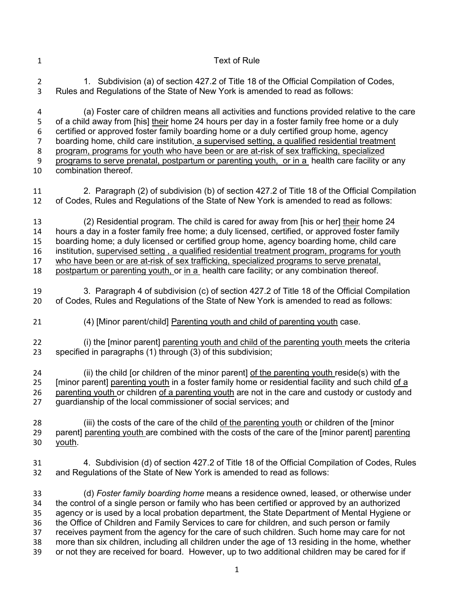Text of Rule 2 1. Subdivision (a) of section 427.2 of Title 18 of the Official Compilation of Codes, Rules and Regulations of the State of New York is amended to read as follows: (a) Foster care of children means all activities and functions provided relative to the care of a child away from [his] their home 24 hours per day in a foster family free home or a duly certified or approved foster family boarding home or a duly certified group home, agency boarding home, child care institution, a supervised setting, a qualified residential treatment program, programs for youth who have been or are at-risk of sex trafficking, specialized programs to serve prenatal, postpartum or parenting youth, or in a health care facility or any combination thereof. 2. Paragraph (2) of subdivision (b) of section 427.2 of Title 18 of the Official Compilation of Codes, Rules and Regulations of the State of New York is amended to read as follows: (2) Residential program. The child is cared for away from [his or her] their home 24 hours a day in a foster family free home; a duly licensed, certified, or approved foster family boarding home; a duly licensed or certified group home, agency boarding home, child care institution, supervised setting , a qualified residential treatment program, programs for youth who have been or are at-risk of sex trafficking, specialized programs to serve prenatal, postpartum or parenting youth, or in a health care facility; or any combination thereof. 3. Paragraph 4 of subdivision (c) of section 427.2 of Title 18 of the Official Compilation of Codes, Rules and Regulations of the State of New York is amended to read as follows: (4) [Minor parent/child] Parenting youth and child of parenting youth case. (i) the [minor parent] parenting youth and child of the parenting youth meets the criteria specified in paragraphs (1) through (3) of this subdivision; 24 (ii) the child [or children of the minor parent] of the parenting youth reside(s) with the [minor parent] parenting youth in a foster family home or residential facility and such child of a parenting youth or children of a parenting youth are not in the care and custody or custody and guardianship of the local commissioner of social services; and (iii) the costs of the care of the child of the parenting youth or children of the [minor 29 parent] parenting youth are combined with the costs of the care of the [minor parent] parenting youth. 4. Subdivision (d) of section 427.2 of Title 18 of the Official Compilation of Codes, Rules and Regulations of the State of New York is amended to read as follows: (d) *Foster family boarding home* means a residence owned, leased, or otherwise under the control of a single person or family who has been certified or approved by an authorized agency or is used by a local probation department, the State Department of Mental Hygiene or the Office of Children and Family Services to care for children, and such person or family receives payment from the agency for the care of such children. Such home may care for not more than six children, including all children under the age of 13 residing in the home, whether or not they are received for board. However, up to two additional children may be cared for if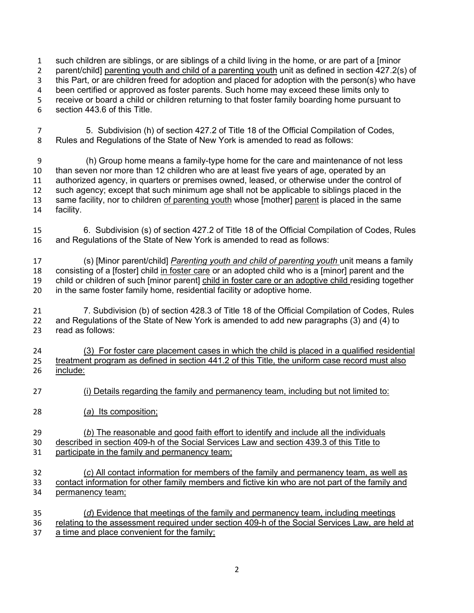such children are siblings, or are siblings of a child living in the home, or are part of a [minor parent/child] parenting youth and child of a parenting youth unit as defined in section 427.2(s) of this Part, or are children freed for adoption and placed for adoption with the person(s) who have been certified or approved as foster parents. Such home may exceed these limits only to receive or board a child or children returning to that foster family boarding home pursuant to section 443.6 of this Title.

 5. Subdivision (h) of section 427.2 of Title 18 of the Official Compilation of Codes, Rules and Regulations of the State of New York is amended to read as follows:

 (h) Group home means a family-type home for the care and maintenance of not less than seven nor more than 12 children who are at least five years of age, operated by an authorized agency, in quarters or premises owned, leased, or otherwise under the control of such agency; except that such minimum age shall not be applicable to siblings placed in the same facility, nor to children of parenting youth whose [mother] parent is placed in the same facility.

 6. Subdivision (s) of section 427.2 of Title 18 of the Official Compilation of Codes, Rules and Regulations of the State of New York is amended to read as follows:

 (s) [Minor parent/child] *Parenting youth and child of parenting youth* unit means a family consisting of a [foster] child in foster care or an adopted child who is a [minor] parent and the 19 child or children of such [minor parent] child in foster care or an adoptive child residing together 20 in the same foster family home, residential facility or adoptive home.

 7. Subdivision (b) of section 428.3 of Title 18 of the Official Compilation of Codes, Rules and Regulations of the State of New York is amended to add new paragraphs (3) and (4) to read as follows:

 (3) For foster care placement cases in which the child is placed in a qualified residential treatment program as defined in section 441.2 of this Title, the uniform case record must also include:

- (i) Details regarding the family and permanency team, including but not limited to:
- (*a*) Its composition;

(*b*) The reasonable and good faith effort to identify and include all the individuals

 described in section 409-h of the Social Services Law and section 439.3 of this Title to participate in the family and permanency team;

- (*c*) All contact information for members of the family and permanency team, as well as contact information for other family members and fictive kin who are not part of the family and permanency team;
- (*d*) Evidence that meetings of the family and permanency team, including meetings relating to the assessment required under section 409-h of the Social Services Law, are held at a time and place convenient for the family;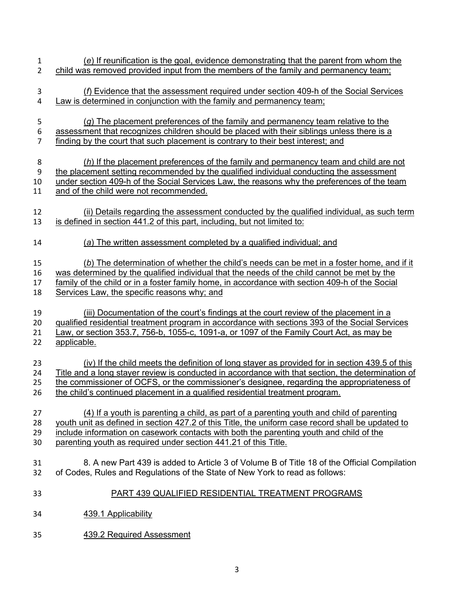| $\mathbf{1}$     | (e) If reunification is the goal, evidence demonstrating that the parent from whom the            |
|------------------|---------------------------------------------------------------------------------------------------|
| $\overline{2}$   | child was removed provided input from the members of the family and permanency team;              |
| 3                | (f) Evidence that the assessment required under section 409-h of the Social Services              |
| 4                | Law is determined in conjunction with the family and permanency team;                             |
| 5                | $(g)$ The placement preferences of the family and permanency team relative to the                 |
| 6                | assessment that recognizes children should be placed with their siblings unless there is a        |
| $\overline{7}$   | finding by the court that such placement is contrary to their best interest; and                  |
| 8                | $(h)$ If the placement preferences of the family and permanency team and child are not            |
| $\boldsymbol{9}$ | the placement setting recommended by the qualified individual conducting the assessment           |
| 10               | under section 409-h of the Social Services Law, the reasons why the preferences of the team       |
| 11               | and of the child were not recommended.                                                            |
| 12               | (ii) Details regarding the assessment conducted by the qualified individual, as such term         |
| 13               | is defined in section 441.2 of this part, including, but not limited to:                          |
| 14               | (a) The written assessment completed by a qualified individual; and                               |
| 15               | (b) The determination of whether the child's needs can be met in a foster home, and if it         |
| 16               | was determined by the qualified individual that the needs of the child cannot be met by the       |
| 17               | family of the child or in a foster family home, in accordance with section 409-h of the Social    |
| 18               | Services Law, the specific reasons why; and                                                       |
| 19               | (iii) Documentation of the court's findings at the court review of the placement in a             |
| 20               | qualified residential treatment program in accordance with sections 393 of the Social Services    |
| 21               | Law, or section 353.7, 756-b, 1055-c, 1091-a, or 1097 of the Family Court Act, as may be          |
| 22               | applicable.                                                                                       |
| 23               | (iv) If the child meets the definition of long stayer as provided for in section 439.5 of this    |
| 24               | Title and a long stayer review is conducted in accordance with that section, the determination of |
| 25               | the commissioner of OCFS, or the commissioner's designee, regarding the appropriateness of        |
| 26               | the child's continued placement in a qualified residential treatment program.                     |
| 27               | (4) If a youth is parenting a child, as part of a parenting youth and child of parenting          |
| 28               | youth unit as defined in section 427.2 of this Title, the uniform case record shall be updated to |
| 29               | include information on casework contacts with both the parenting youth and child of the           |
| 30               | parenting youth as required under section 441.21 of this Title.                                   |
| 31               | 8. A new Part 439 is added to Article 3 of Volume B of Title 18 of the Official Compilation       |
| 32               | of Codes, Rules and Regulations of the State of New York to read as follows:                      |
| 33               | PART 439 QUALIFIED RESIDENTIAL TREATMENT PROGRAMS                                                 |
| 34               | 439.1 Applicability                                                                               |
| 35               | 439.2 Required Assessment                                                                         |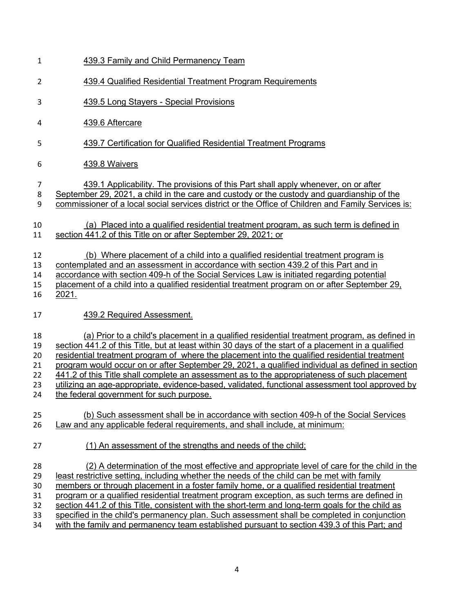| 1                                      | 439.3 Family and Child Permanency Team                                                                                                                                                                                                                                                                                                                                                                                                                                                                                                                                                                                                                                                     |
|----------------------------------------|--------------------------------------------------------------------------------------------------------------------------------------------------------------------------------------------------------------------------------------------------------------------------------------------------------------------------------------------------------------------------------------------------------------------------------------------------------------------------------------------------------------------------------------------------------------------------------------------------------------------------------------------------------------------------------------------|
| $\overline{2}$                         | 439.4 Qualified Residential Treatment Program Requirements                                                                                                                                                                                                                                                                                                                                                                                                                                                                                                                                                                                                                                 |
| 3                                      | <b>439.5 Long Stayers - Special Provisions</b>                                                                                                                                                                                                                                                                                                                                                                                                                                                                                                                                                                                                                                             |
| 4                                      | 439.6 Aftercare                                                                                                                                                                                                                                                                                                                                                                                                                                                                                                                                                                                                                                                                            |
| 5                                      | 439.7 Certification for Qualified Residential Treatment Programs                                                                                                                                                                                                                                                                                                                                                                                                                                                                                                                                                                                                                           |
| 6                                      | 439.8 Waivers                                                                                                                                                                                                                                                                                                                                                                                                                                                                                                                                                                                                                                                                              |
| 7<br>8<br>9                            | 439.1 Applicability. The provisions of this Part shall apply whenever, on or after<br>September 29, 2021, a child in the care and custody or the custody and quardianship of the<br>commissioner of a local social services district or the Office of Children and Family Services is:                                                                                                                                                                                                                                                                                                                                                                                                     |
| 10<br>11                               | (a) Placed into a qualified residential treatment program, as such term is defined in<br>section 441.2 of this Title on or after September 29, 2021; or                                                                                                                                                                                                                                                                                                                                                                                                                                                                                                                                    |
| 12<br>13<br>14<br>15<br>16             | (b) Where placement of a child into a qualified residential treatment program is<br>contemplated and an assessment in accordance with section 439.2 of this Part and in<br>accordance with section 409-h of the Social Services Law is initiated regarding potential<br>placement of a child into a qualified residential treatment program on or after September 29,<br>2021.                                                                                                                                                                                                                                                                                                             |
| 17                                     | 439.2 Required Assessment.                                                                                                                                                                                                                                                                                                                                                                                                                                                                                                                                                                                                                                                                 |
| 18<br>19<br>20<br>21<br>22<br>23<br>24 | (a) Prior to a child's placement in a qualified residential treatment program, as defined in<br>section 441.2 of this Title, but at least within 30 days of the start of a placement in a qualified<br>residential treatment program of where the placement into the qualified residential treatment<br>program would occur on or after September 29, 2021, a qualified individual as defined in section<br>441.2 of this Title shall complete an assessment as to the appropriateness of such placement<br>utilizing an age-appropriate, evidence-based, validated, functional assessment tool approved by<br>the federal government for such purpose.                                    |
| 25<br>26                               | (b) Such assessment shall be in accordance with section 409-h of the Social Services<br>Law and any applicable federal requirements, and shall include, at minimum:                                                                                                                                                                                                                                                                                                                                                                                                                                                                                                                        |
| 27                                     | (1) An assessment of the strengths and needs of the child;                                                                                                                                                                                                                                                                                                                                                                                                                                                                                                                                                                                                                                 |
| 28<br>29<br>30<br>31<br>32<br>33<br>34 | (2) A determination of the most effective and appropriate level of care for the child in the<br>least restrictive setting, including whether the needs of the child can be met with family<br>members or through placement in a foster family home, or a qualified residential treatment<br>program or a qualified residential treatment program exception, as such terms are defined in<br>section 441.2 of this Title, consistent with the short-term and long-term goals for the child as<br>specified in the child's permanency plan. Such assessment shall be completed in conjunction<br>with the family and permanency team established pursuant to section 439.3 of this Part; and |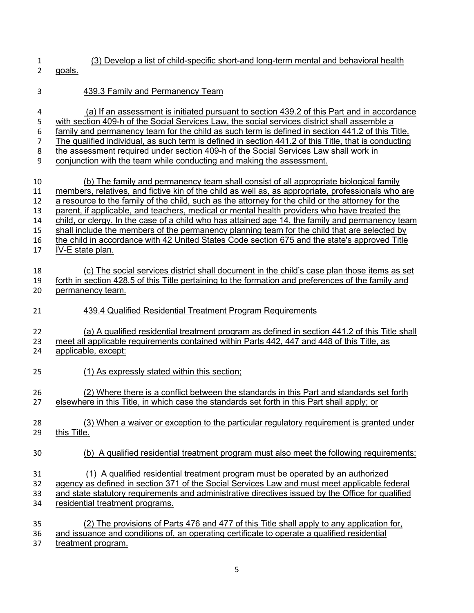- (3) Develop a list of child-specific short-and long-term mental and behavioral health
- goals.
- 439.3 Family and Permanency Team
- (a) If an assessment is initiated pursuant to section 439.2 of this Part and in accordance 5 with section 409-h of the Social Services Law, the social services district shall assemble a<br>6 family and permanency team for the child as such term is defined in section 441.2 of this T family and permanency team for the child as such term is defined in section 441.2 of this Title. The qualified individual, as such term is defined in section 441.2 of this Title, that is conducting the assessment required under section 409-h of the Social Services Law shall work in conjunction with the team while conducting and making the assessment. (b) The family and permanency team shall consist of all appropriate biological family members, relatives, and fictive kin of the child as well as, as appropriate, professionals who are 12 a resource to the family of the child, such as the attorney for the child or the attorney for the parent, if applicable, and teachers, medical or mental health providers who have treated the child, or clergy. In the case of a child who has attained age 14, the family and permanency team shall include the members of the permanency planning team for the child that are selected by the child in accordance with 42 United States Code section 675 and the state's approved Title IV-E state plan. (c) The social services district shall document in the child's case plan those items as set forth in section 428.5 of this Title pertaining to the formation and preferences of the family and permanency team. 439.4 Qualified Residential Treatment Program Requirements (a) A qualified residential treatment program as defined in section 441.2 of this Title shall 23 meet all applicable requirements contained within Parts 442, 447 and 448 of this Title, as applicable, except: (1) As expressly stated within this section; (2) Where there is a conflict between the standards in this Part and standards set forth elsewhere in this Title, in which case the standards set forth in this Part shall apply; or (3) When a waiver or exception to the particular regulatory requirement is granted under this Title. (b) A qualified residential treatment program must also meet the following requirements: (1) A qualified residential treatment program must be operated by an authorized agency as defined in section 371 of the Social Services Law and must meet applicable federal and state statutory requirements and administrative directives issued by the Office for qualified residential treatment programs.
- (2) The provisions of Parts 476 and 477 of this Title shall apply to any application for, and issuance and conditions of, an operating certificate to operate a qualified residential treatment program.
	-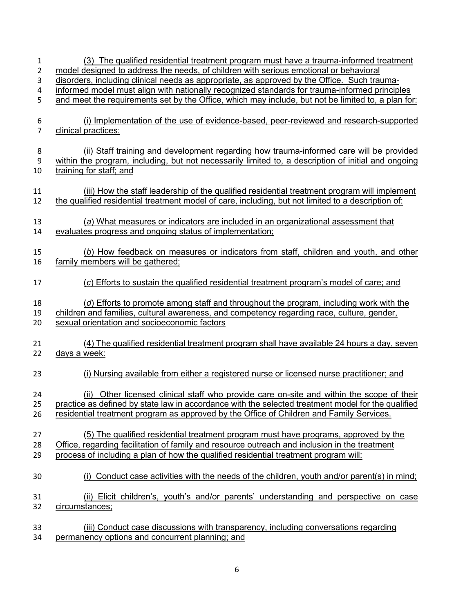| 1<br>2              | (3) The qualified residential treatment program must have a trauma-informed treatment<br>model designed to address the needs, of children with serious emotional or behavioral                     |
|---------------------|----------------------------------------------------------------------------------------------------------------------------------------------------------------------------------------------------|
| 3                   | disorders, including clinical needs as appropriate, as approved by the Office. Such trauma-                                                                                                        |
| 4                   | informed model must align with nationally recognized standards for trauma-informed principles                                                                                                      |
| 5                   | and meet the requirements set by the Office, which may include, but not be limited to, a plan for:                                                                                                 |
| 6<br>$\overline{7}$ | (i) Implementation of the use of evidence-based, peer-reviewed and research-supported<br>clinical practices;                                                                                       |
|                     | (ii) Staff training and development regarding how trauma-informed care will be provided                                                                                                            |
| 8<br>9              | within the program, including, but not necessarily limited to, a description of initial and ongoing                                                                                                |
|                     |                                                                                                                                                                                                    |
| 10                  | training for staff; and                                                                                                                                                                            |
| 11<br>12            | (iii) How the staff leadership of the qualified residential treatment program will implement<br>the qualified residential treatment model of care, including, but not limited to a description of: |
| 13                  | (a) What measures or indicators are included in an organizational assessment that                                                                                                                  |
| 14                  | evaluates progress and ongoing status of implementation;                                                                                                                                           |
|                     |                                                                                                                                                                                                    |
| 15                  | (b) How feedback on measures or indicators from staff, children and youth, and other                                                                                                               |
| 16                  | family members will be gathered;                                                                                                                                                                   |
|                     |                                                                                                                                                                                                    |
| 17                  | (c) Efforts to sustain the qualified residential treatment program's model of care; and                                                                                                            |
| 18                  | (d) Efforts to promote among staff and throughout the program, including work with the                                                                                                             |
| 19                  | children and families, cultural awareness, and competency regarding race, culture, gender,                                                                                                         |
| 20                  | sexual orientation and socioeconomic factors                                                                                                                                                       |
|                     |                                                                                                                                                                                                    |
| 21<br>22            | (4) The qualified residential treatment program shall have available 24 hours a day, seven<br>days a week:                                                                                         |
| 23                  | (i) Nursing available from either a registered nurse or licensed nurse practitioner; and                                                                                                           |
| 24                  | (ii) Other licensed clinical staff who provide care on-site and within the scope of their                                                                                                          |
| 25                  | practice as defined by state law in accordance with the selected treatment model for the qualified                                                                                                 |
| 26                  | residential treatment program as approved by the Office of Children and Family Services.                                                                                                           |
|                     |                                                                                                                                                                                                    |
|                     |                                                                                                                                                                                                    |
| 27                  | (5) The qualified residential treatment program must have programs, approved by the                                                                                                                |
| 28                  | Office, regarding facilitation of family and resource outreach and inclusion in the treatment                                                                                                      |
| 29                  | process of including a plan of how the qualified residential treatment program will:                                                                                                               |
|                     |                                                                                                                                                                                                    |
| 30                  | Conduct case activities with the needs of the children, youth and/or parent(s) in mind;                                                                                                            |
|                     |                                                                                                                                                                                                    |
| 31                  | (ii) Elicit children's, youth's and/or parents' understanding and perspective on case                                                                                                              |
| 32                  | circumstances;                                                                                                                                                                                     |
|                     |                                                                                                                                                                                                    |
| 33                  | (iii) Conduct case discussions with transparency, including conversations regarding                                                                                                                |
| 34                  | permanency options and concurrent planning; and                                                                                                                                                    |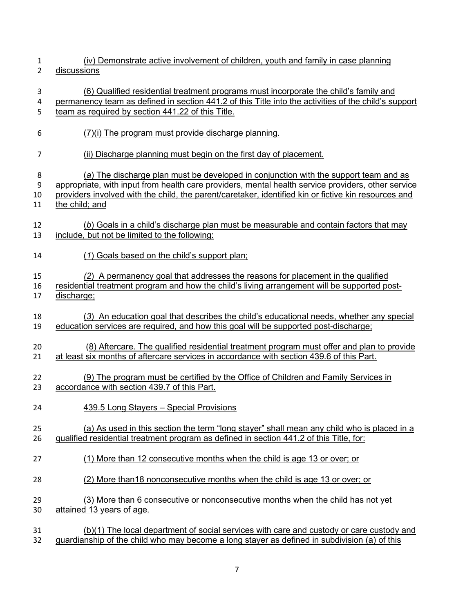(iv) Demonstrate active involvement of children, youth and family in case planning discussions (6) Qualified residential treatment programs must incorporate the child's family and permanency team as defined in section 441.2 of this Title into the activities of the child's support team as required by section 441.22 of this Title. (7)(i) The program must provide discharge planning. (ii) Discharge planning must begin on the first day of placement. (*a*) The discharge plan must be developed in conjunction with the support team and as appropriate, with input from health care providers, mental health service providers, other service providers involved with the child, the parent/caretaker, identified kin or fictive kin resources and 11 the child; and (*b*) Goals in a child's discharge plan must be measurable and contain factors that may include, but not be limited to the following: (*1*) Goals based on the child's support plan; *(2*) A permanency goal that addresses the reasons for placement in the qualified residential treatment program and how the child's living arrangement will be supported post- discharge; (*3*) An education goal that describes the child's educational needs, whether any special education services are required, and how this goal will be supported post-discharge; (8) Aftercare. The qualified residential treatment program must offer and plan to provide at least six months of aftercare services in accordance with section 439.6 of this Part. (9) The program must be certified by the Office of Children and Family Services in accordance with section 439.7 of this Part. 439.5 Long Stayers – Special Provisions (a) As used in this section the term "long stayer" shall mean any child who is placed in a qualified residential treatment program as defined in section 441.2 of this Title, for: (1) More than 12 consecutive months when the child is age 13 or over; or (2) More than18 nonconsecutive months when the child is age 13 or over; or (3) More than 6 consecutive or nonconsecutive months when the child has not yet attained 13 years of age. (b)(1) The local department of social services with care and custody or care custody and guardianship of the child who may become a long stayer as defined in subdivision (a) of this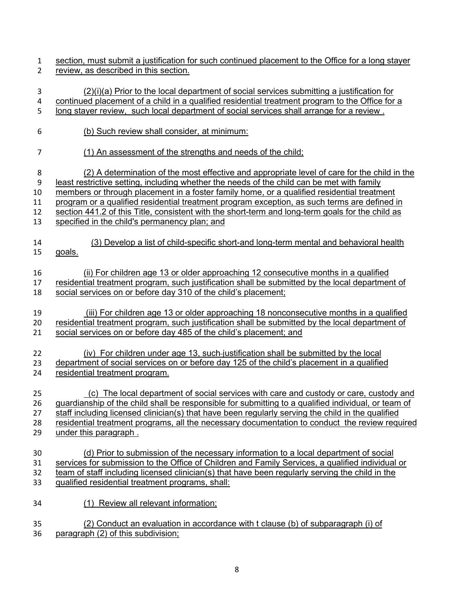- section, must submit a justification for such continued placement to the Office for a long stayer review, as described in this section.
- (2)(i)(a) Prior to the local department of social services submitting a justification for continued placement of a child in a qualified residential treatment program to the Office for a 5 long stayer review, such local department of social services shall arrange for a review. (b) Such review shall consider, at minimum: (1) An assessment of the strengths and needs of the child; (2) A determination of the most effective and appropriate level of care for the child in the least restrictive setting, including whether the needs of the child can be met with family members or through placement in a foster family home, or a qualified residential treatment program or a qualified residential treatment program exception, as such terms are defined in section 441.2 of this Title, consistent with the short-term and long-term goals for the child as specified in the child's permanency plan; and (3) Develop a list of child-specific short-and long-term mental and behavioral health goals. (ii) For children age 13 or older approaching 12 consecutive months in a qualified residential treatment program, such justification shall be submitted by the local department of social services on or before day 310 of the child's placement; (iii) For children age 13 or older approaching 18 nonconsecutive months in a qualified residential treatment program, such justification shall be submitted by the local department of social services on or before day 485 of the child's placement; and (iv) For children under age 13, such justification shall be submitted by the local department of social services on or before day 125 of the child's placement in a qualified residential treatment program. (c)The local department of social services with care and custody or care, custody and guardianship of the child shall be responsible for submitting to a qualified individual, or team of staff including licensed clinician(s) that have been regularly serving the child in the qualified residential treatment programs, all the necessary documentation to conduct the review required under this paragraph . (d) Prior to submission of the necessary information to a local department of social services for submission to the Office of Children and Family Services, a qualified individual or 32 team of staff including licensed clinician(s) that have been regularly serving the child in the qualified residential treatment programs, shall: (1) Review all relevant information; (2) Conduct an evaluation in accordance with t clause (b) of subparagraph (i) of paragraph (2) of this subdivision;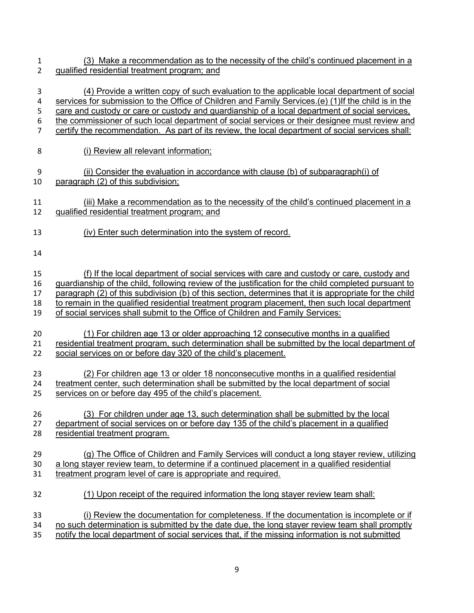| 1              | (3) Make a recommendation as to the necessity of the child's continued placement in a                  |
|----------------|--------------------------------------------------------------------------------------------------------|
| $\overline{2}$ | qualified residential treatment program; and                                                           |
| 3              | (4) Provide a written copy of such evaluation to the applicable local department of social             |
| 4              | services for submission to the Office of Children and Family Services.(e) (1) If the child is in the   |
| 5              | care and custody or care or custody and quardianship of a local department of social services,         |
| 6              | the commissioner of such local department of social services or their designee must review and         |
| $\overline{7}$ | certify the recommendation. As part of its review, the local department of social services shall:      |
| 8              | (i) Review all relevant information;                                                                   |
| 9              | (ii) Consider the evaluation in accordance with clause (b) of subparagraph(i) of                       |
| 10             | paragraph (2) of this subdivision;                                                                     |
| 11             | (iii) Make a recommendation as to the necessity of the child's continued placement in a                |
| 12             | qualified residential treatment program; and                                                           |
| 13             | (iv) Enter such determination into the system of record.                                               |
| 14             |                                                                                                        |
| 15             | (f) If the local department of social services with care and custody or care, custody and              |
| 16             | guardianship of the child, following review of the justification for the child completed pursuant to   |
| 17             | paragraph (2) of this subdivision (b) of this section, determines that it is appropriate for the child |
| 18             | to remain in the qualified residential treatment program placement, then such local department         |
| 19             | of social services shall submit to the Office of Children and Family Services:                         |
| 20             | (1) For children age 13 or older approaching 12 consecutive months in a qualified                      |
| 21             | residential treatment program, such determination shall be submitted by the local department of        |
| 22             | social services on or before day 320 of the child's placement.                                         |
| 23             | (2) For children age 13 or older 18 nonconsecutive months in a qualified residential                   |
| 24             | treatment center, such determination shall be submitted by the local department of social              |
| 25             | services on or before day 495 of the child's placement.                                                |
| 26             | (3) For children under age 13, such determination shall be submitted by the local                      |
| 27             | department of social services on or before day 135 of the child's placement in a qualified             |
| 28             | residential treatment program.                                                                         |
| 29             | (g) The Office of Children and Family Services will conduct a long stayer review, utilizing            |
| 30             | a long stayer review team, to determine if a continued placement in a qualified residential            |
| 31             | treatment program level of care is appropriate and required.                                           |
| 32             | (1) Upon receipt of the required information the long stayer review team shall:                        |
| 33             | (i) Review the documentation for completeness. If the documentation is incomplete or if                |
| 34             | no such determination is submitted by the date due, the long stayer review team shall promptly         |
| 35             | notify the local department of social services that, if the missing information is not submitted       |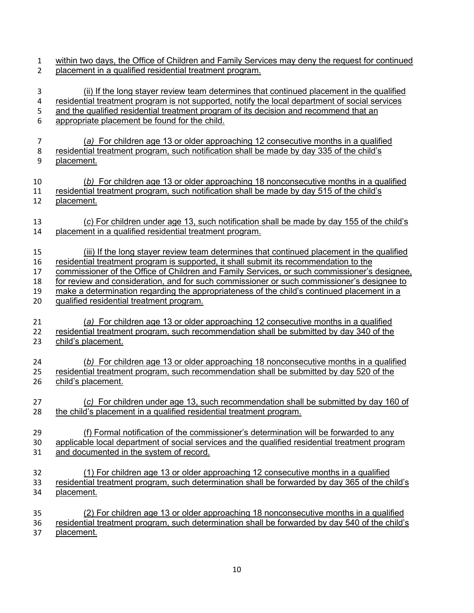within two days, the Office of Children and Family Services may deny the request for continued placement in a qualified residential treatment program. (ii) If the long stayer review team determines that continued placement in the qualified 4 residential treatment program is not supported, notify the local department of social services 5 and the qualified residential treatment program of its decision and recommend that an appropriate placement be found for the child. (*a)* For children age 13 or older approaching 12 consecutive months in a qualified residential treatment program, such notification shall be made by day 335 of the child's placement. (*b)* For children age 13 or older approaching 18 nonconsecutive months in a qualified residential treatment program, such notification shall be made by day 515 of the child's placement. (*c*) For children under age 13, such notification shall be made by day 155 of the child's placement in a qualified residential treatment program. (iii) If the long stayer review team determines that continued placement in the qualified residential treatment program is supported, it shall submit its recommendation to the commissioner of the Office of Children and Family Services, or such commissioner's designee, for review and consideration, and for such commissioner or such commissioner's designee to 19 make a determination regarding the appropriateness of the child's continued placement in a qualified residential treatment program. (*a)* For children age 13 or older approaching 12 consecutive months in a qualified residential treatment program, such recommendation shall be submitted by day 340 of the child's placement. (*b)* For children age 13 or older approaching 18 nonconsecutive months in a qualified residential treatment program, such recommendation shall be submitted by day 520 of the child's placement. (*c)* For children under age 13, such recommendation shall be submitted by day 160 of the child's placement in a qualified residential treatment program. (f) Formal notification of the commissioner's determination will be forwarded to any applicable local department of social services and the qualified residential treatment program and documented in the system of record. (1) For children age 13 or older approaching 12 consecutive months in a qualified residential treatment program, such determination shall be forwarded by day 365 of the child's placement. (2) For children age 13 or older approaching 18 nonconsecutive months in a qualified residential treatment program, such determination shall be forwarded by day 540 of the child's placement.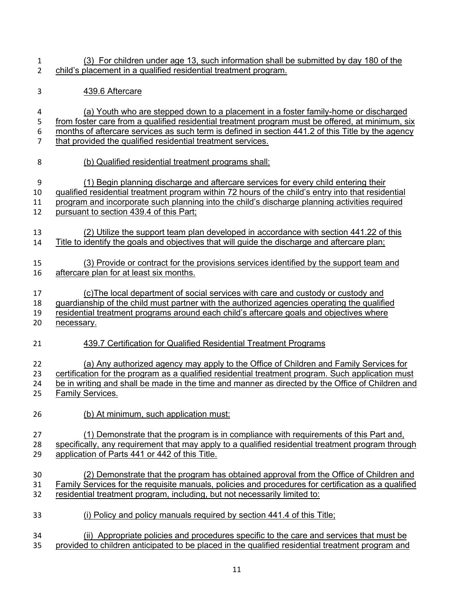- (3) For children under age 13, such information shall be submitted by day 180 of the child's placement in a qualified residential treatment program.
- 439.6 Aftercare
- (a) Youth who are stepped down to a placement in a foster family-home or discharged from foster care from a qualified residential treatment program must be offered, at minimum, six months of aftercare services as such term is defined in section 441.2 of this Title by the agency that provided the qualified residential treatment services.
- (b) Qualified residential treatment programs shall:
- (1) Begin planning discharge and aftercare services for every child entering their
- qualified residential treatment program within 72 hours of the child's entry into that residential program and incorporate such planning into the child's discharge planning activities required
- pursuant to section 439.4 of this Part;
- (2) Utilize the support team plan developed in accordance with section 441.22 of this Title to identify the goals and objectives that will guide the discharge and aftercare plan;
- (3) Provide or contract for the provisions services identified by the support team and aftercare plan for at least six months.
- (c)The local department of social services with care and custody or custody and guardianship of the child must partner with the authorized agencies operating the qualified
- residential treatment programs around each child's aftercare goals and objectives where
- necessary.
- 439.7 Certification for Qualified Residential Treatment Programs
- 22 (a) Any authorized agency may apply to the Office of Children and Family Services for
- certification for the program as a qualified residential treatment program. Such application must 24 be in writing and shall be made in the time and manner as directed by the Office of Children and
- Family Services.
- (b) At minimum, such application must:
- (1) Demonstrate that the program is in compliance with requirements of this Part and,
- specifically, any requirement that may apply to a qualified residential treatment program through application of Parts 441 or 442 of this Title.
- (2) Demonstrate that the program has obtained approval from the Office of Children and Family Services for the requisite manuals, policies and procedures for certification as a qualified residential treatment program, including, but not necessarily limited to:
- (i) Policy and policy manuals required by section 441.4 of this Title;
- (ii) Appropriate policies and procedures specific to the care and services that must be provided to children anticipated to be placed in the qualified residential treatment program and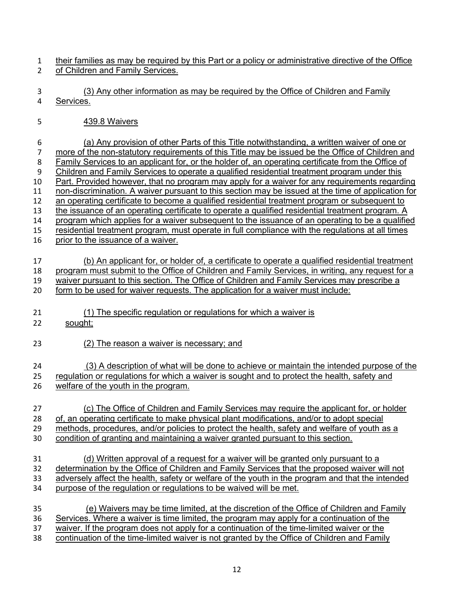- their families as may be required by this Part or a policy or administrative directive of the Office of Children and Family Services.
- (3) Any other information as may be required by the Office of Children and Family Services.
- 439.8 Waivers
- (a) Any provision of other Parts of this Title notwithstanding, a written waiver of one or more of the non-statutory requirements of this Title may be issued be the Office of Children and 8 Family Services to an applicant for, or the holder of, an operating certificate from the Office of Children and Family Services to operate a qualified residential treatment program under this Part. Provided however, that no program may apply for a waiver for any requirements regarding non-discrimination. A waiver pursuant to this section may be issued at the time of application for an operating certificate to become a qualified residential treatment program or subsequent to the issuance of an operating certificate to operate a qualified residential treatment program. A program which applies for a waiver subsequent to the issuance of an operating to be a qualified residential treatment program, must operate in full compliance with the regulations at all times prior to the issuance of a waiver. (b) An applicant for, or holder of, a certificate to operate a qualified residential treatment program must submit to the Office of Children and Family Services, in writing, any request for a 19 waiver pursuant to this section. The Office of Children and Family Services may prescribe a form to be used for waiver requests. The application for a waiver must include: (1) The specific regulation or regulations for which a waiver is sought; (2) The reason a waiver is necessary; and (3) A description of what will be done to achieve or maintain the intended purpose of the regulation or regulations for which a waiver is sought and to protect the health, safety and welfare of the youth in the program. (c) The Office of Children and Family Services may require the applicant for, or holder of, an operating certificate to make physical plant modifications, and/or to adopt special methods, procedures, and/or policies to protect the health, safety and welfare of youth as a condition of granting and maintaining a waiver granted pursuant to this section. (d) Written approval of a request for a waiver will be granted only pursuant to a determination by the Office of Children and Family Services that the proposed waiver will not 33 adversely affect the health, safety or welfare of the youth in the program and that the intended purpose of the regulation or regulations to be waived will be met. (e) Waivers may be time limited, at the discretion of the Office of Children and Family Services. Where a waiver is time limited, the program may apply for a continuation of the waiver. If the program does not apply for a continuation of the time-limited waiver or the continuation of the time-limited waiver is not granted by the Office of Children and Family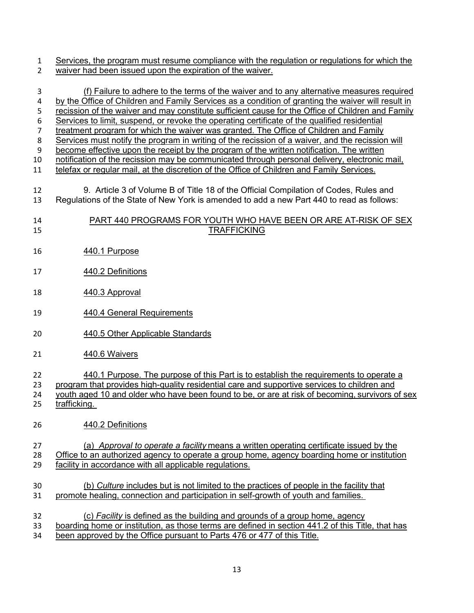1 Services, the program must resume compliance with the regulation or regulations for which the 2 waiver had been issued upon the expiration of the waiver.

| 3                | (f) Failure to adhere to the terms of the waiver and to any alternative measures required          |
|------------------|----------------------------------------------------------------------------------------------------|
| 4                | by the Office of Children and Family Services as a condition of granting the waiver will result in |
| 5                | recission of the waiver and may constitute sufficient cause for the Office of Children and Family  |
| $\boldsymbol{6}$ | Services to limit, suspend, or revoke the operating certificate of the qualified residential       |
| $\overline{7}$   | treatment program for which the waiver was granted. The Office of Children and Family              |
| 8                | Services must notify the program in writing of the recission of a waiver, and the recission will   |
| 9                | become effective upon the receipt by the program of the written notification. The written          |
| 10               | notification of the recission may be communicated through personal delivery, electronic mail,      |
| 11               | telefax or regular mail, at the discretion of the Office of Children and Family Services.          |
| 12               | 9. Article 3 of Volume B of Title 18 of the Official Compilation of Codes, Rules and               |
| 13               | Regulations of the State of New York is amended to add a new Part 440 to read as follows:          |
| 14               | PART 440 PROGRAMS FOR YOUTH WHO HAVE BEEN OR ARE AT-RISK OF SEX                                    |
| 15               | <b>TRAFFICKING</b>                                                                                 |
| 16               | 440.1 Purpose                                                                                      |
| 17               | 440.2 Definitions                                                                                  |
| 18               | 440.3 Approval                                                                                     |
| 19               | 440.4 General Requirements                                                                         |
| 20               | 440.5 Other Applicable Standards                                                                   |
| 21               | 440.6 Waivers                                                                                      |
| 22               | 440.1 Purpose. The purpose of this Part is to establish the requirements to operate a              |
| 23               | program that provides high-quality residential care and supportive services to children and        |
| 24               | youth aged 10 and older who have been found to be, or are at risk of becoming, survivors of sex    |
| 25               | trafficking.                                                                                       |
| 26               | 440.2 Definitions                                                                                  |
| 27               | (a) Approval to operate a facility means a written operating certificate issued by the             |
| 28               | Office to an authorized agency to operate a group home, agency boarding home or institution        |
| 29               | facility in accordance with all applicable regulations.                                            |
| 30               | (b) Culture includes but is not limited to the practices of people in the facility that            |
| 31               | promote healing, connection and participation in self-growth of youth and families.                |
| 32               | (c) Facility is defined as the building and grounds of a group home, agency                        |
| 33               | boarding home or institution, as those terms are defined in section 441.2 of this Title, that has  |
| 34               | been approved by the Office pursuant to Parts 476 or 477 of this Title.                            |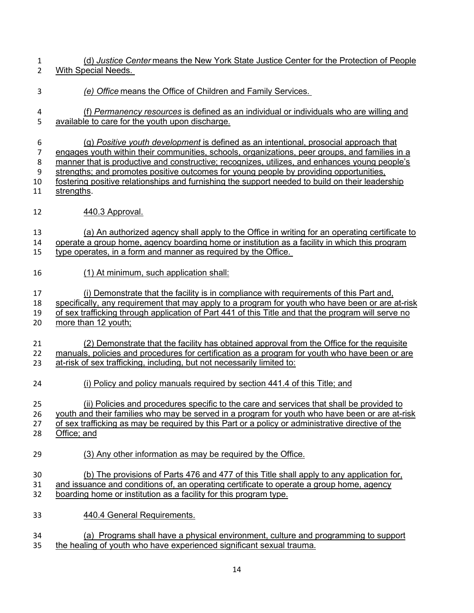(d) *Justice Center* means the New York State Justice Center for the Protection of People With Special Needs.

- *(e) Office* means the Office of Children and Family Services.
- (f) *Permanency resources* is defined as an individual or individuals who are willing and available to care for the youth upon discharge.
- (g) *Positive youth development* is defined as an intentional, prosocial approach that 7 engages youth within their communities, schools, organizations, peer groups, and families in a manner that is productive and constructive; recognizes, utilizes, and enhances young people's strengths; and promotes positive outcomes for young people by providing opportunities, fostering positive relationships and furnishing the support needed to build on their leadership strengths.
- 440.3 Approval.

 (a) An authorized agency shall apply to the Office in writing for an operating certificate to operate a group home, agency boarding home or institution as a facility in which this program type operates, in a form and manner as required by the Office.

(1) At minimum, such application shall:

(i) Demonstrate that the facility is in compliance with requirements of this Part and,

specifically, any requirement that may apply to a program for youth who have been or are at-risk

 of sex trafficking through application of Part 441 of this Title and that the program will serve no 20 more than 12 youth;

 (2) Demonstrate that the facility has obtained approval from the Office for the requisite manuals, policies and procedures for certification as a program for youth who have been or are at-risk of sex trafficking, including, but not necessarily limited to:

(i) Policy and policy manuals required by section 441.4 of this Title; and

(ii) Policies and procedures specific to the care and services that shall be provided to

youth and their families who may be served in a program for youth who have been or are at-risk

- of sex trafficking as may be required by this Part or a policy or administrative directive of the
- Office; and
	- (3) Any other information as may be required by the Office.
	- (b) The provisions of Parts 476 and 477 of this Title shall apply to any application for,
	- and issuance and conditions of, an operating certificate to operate a group home, agency boarding home or institution as a facility for this program type.
	- 440.4 General Requirements.
	- (a) Programs shall have a physical environment, culture and programming to support the healing of youth who have experienced significant sexual trauma.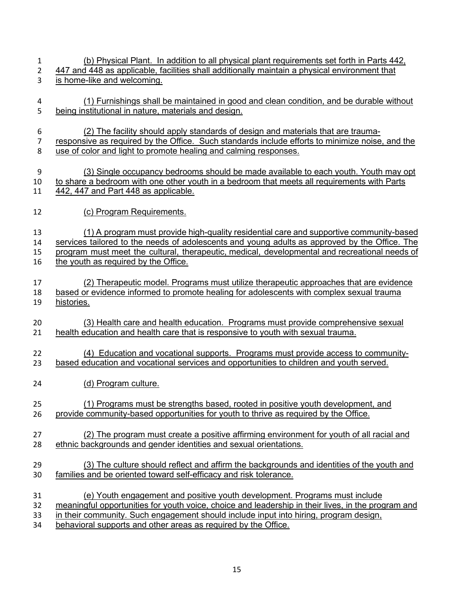- 1 (b) Physical Plant. In addition to all physical plant requirements set forth in Parts 442, 447 and 448 as applicable, facilities shall additionally maintain a physical environment that is home-like and welcoming. (1) Furnishings shall be maintained in good and clean condition, and be durable without 5 being institutional in nature, materials and design. (2) The facility should apply standards of design and materials that are trauma- responsive as required by the Office. Such standards include efforts to minimize noise, and the use of color and light to promote healing and calming responses.
- (3) Single occupancy bedrooms should be made available to each youth. Youth may opt to share a bedroom with one other youth in a bedroom that meets all requirements with Parts 442, 447 and Part 448 as applicable.
- (c) Program Requirements.

 (1) A program must provide high-quality residential care and supportive community-based services tailored to the needs of adolescents and young adults as approved by the Office. The program must meet the cultural, therapeutic, medical, developmental and recreational needs of 16 the youth as required by the Office.

- (2) Therapeutic model. Programs must utilize therapeutic approaches that are evidence based or evidence informed to promote healing for adolescents with complex sexual trauma histories.
- (3) Health care and health education. Programs must provide comprehensive sexual 21 health education and health care that is responsive to youth with sexual trauma.
- (4) Education and vocational supports. Programs must provide access to community-based education and vocational services and opportunities to children and youth served.
- (d) Program culture.
- (1) Programs must be strengths based, rooted in positive youth development, and provide community-based opportunities for youth to thrive as required by the Office.
- (2) The program must create a positive affirming environment for youth of all racial and ethnic backgrounds and gender identities and sexual orientations.
- (3) The culture should reflect and affirm the backgrounds and identities of the youth and families and be oriented toward self-efficacy and risk tolerance.
- (e) Youth engagement and positive youth development. Programs must include
- meaningful opportunities for youth voice, choice and leadership in their lives, in the program and
- 33 in their community. Such engagement should include input into hiring, program design,
- behavioral supports and other areas as required by the Office.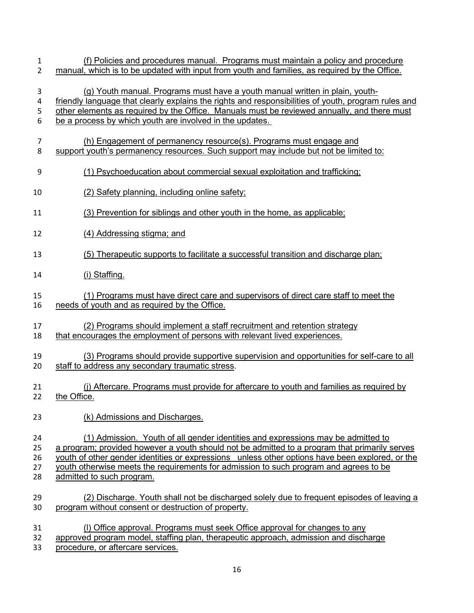| 1              | (f) Policies and procedures manual. Programs must maintain a policy and procedure                   |
|----------------|-----------------------------------------------------------------------------------------------------|
| $\overline{2}$ | manual, which is to be updated with input from youth and families, as required by the Office.       |
| 3              | (g) Youth manual. Programs must have a youth manual written in plain, youth-                        |
| 4              | friendly language that clearly explains the rights and responsibilities of youth, program rules and |
| 5              | other elements as required by the Office. Manuals must be reviewed annually, and there must         |
| 6              | be a process by which youth are involved in the updates.                                            |
| $\overline{7}$ | (h) Engagement of permanency resource(s). Programs must engage and                                  |
| 8              | support youth's permanency resources. Such support may include but not be limited to:               |
| 9              | (1) Psychoeducation about commercial sexual exploitation and trafficking;                           |
| 10             | (2) Safety planning, including online safety;                                                       |
| 11             | (3) Prevention for siblings and other youth in the home, as applicable;                             |
| 12             | (4) Addressing stigma; and                                                                          |
| 13             | (5) Therapeutic supports to facilitate a successful transition and discharge plan;                  |
| 14             | (i) Staffing.                                                                                       |
| 15             | (1) Programs must have direct care and supervisors of direct care staff to meet the                 |
| 16             | needs of youth and as required by the Office.                                                       |
| 17             | (2) Programs should implement a staff recruitment and retention strategy                            |
| 18             | that encourages the employment of persons with relevant lived experiences.                          |
| 19             | (3) Programs should provide supportive supervision and opportunities for self-care to all           |
| 20             | staff to address any secondary traumatic stress.                                                    |
| 21             | (j) Aftercare. Programs must provide for aftercare to youth and families as required by             |
| 22             | the Office.                                                                                         |
| 23             | (k) Admissions and Discharges.                                                                      |
| 24             | (1) Admission. Youth of all gender identities and expressions may be admitted to                    |
| 25             | a program; provided however a youth should not be admitted to a program that primarily serves       |
| 26             | youth of other gender identities or expressions unless other options have been explored, or the     |
| 27             | youth otherwise meets the requirements for admission to such program and agrees to be               |
| 28             | admitted to such program.                                                                           |
| 29             | (2) Discharge. Youth shall not be discharged solely due to frequent episodes of leaving a           |
| 30             | program without consent or destruction of property.                                                 |
| 31             | (I) Office approval. Programs must seek Office approval for changes to any                          |
| 32             | approved program model, staffing plan, therapeutic approach, admission and discharge                |

procedure, or aftercare services.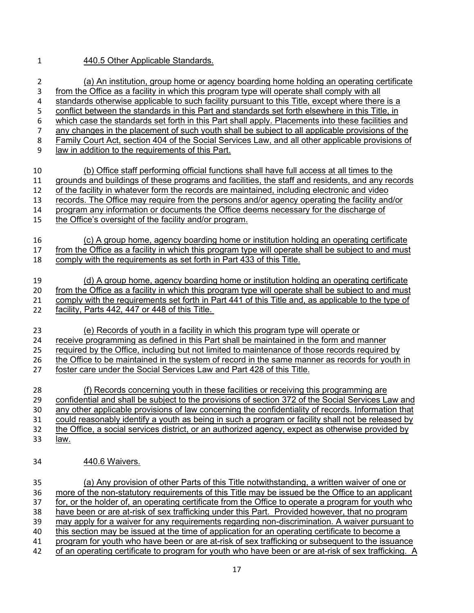## 440.5 Other Applicable Standards.

| $\overline{2}$ | (a) An institution, group home or agency boarding home holding an operating certificate            |
|----------------|----------------------------------------------------------------------------------------------------|
| 3              | from the Office as a facility in which this program type will operate shall comply with all        |
| 4              | standards otherwise applicable to such facility pursuant to this Title, except where there is a    |
| 5              | conflict between the standards in this Part and standards set forth elsewhere in this Title, in    |
| 6              | which case the standards set forth in this Part shall apply. Placements into these facilities and  |
| $\overline{7}$ | any changes in the placement of such youth shall be subject to all applicable provisions of the    |
| 8              | Family Court Act, section 404 of the Social Services Law, and all other applicable provisions of   |
| 9              | law in addition to the requirements of this Part.                                                  |
| 10             | (b) Office staff performing official functions shall have full access at all times to the          |
| 11             | grounds and buildings of these programs and facilities, the staff and residents, and any records   |
| 12             | of the facility in whatever form the records are maintained, including electronic and video        |
| 13             | records. The Office may require from the persons and/or agency operating the facility and/or       |
| 14             | program any information or documents the Office deems necessary for the discharge of               |
| 15             | the Office's oversight of the facility and/or program.                                             |
| 16             | (c) A group home, agency boarding home or institution holding an operating certificate             |
| 17             | from the Office as a facility in which this program type will operate shall be subject to and must |
| 18             | comply with the requirements as set forth in Part 433 of this Title.                               |
| 19             | (d) A group home, agency boarding home or institution holding an operating certificate             |
| 20             | from the Office as a facility in which this program type will operate shall be subject to and must |
| 21             | comply with the requirements set forth in Part 441 of this Title and, as applicable to the type of |
| 22             | facility, Parts 442, 447 or 448 of this Title.                                                     |
| 23             | (e) Records of youth in a facility in which this program type will operate or                      |
| 24             | receive programming as defined in this Part shall be maintained in the form and manner             |
| 25             | required by the Office, including but not limited to maintenance of those records required by      |
| 26             | the Office to be maintained in the system of record in the same manner as records for youth in     |
| 27             | foster care under the Social Services Law and Part 428 of this Title.                              |
| 28             | (f) Records concerning youth in these facilities or receiving this programming are                 |
| 29             | confidential and shall be subject to the provisions of section 372 of the Social Services Law and  |
| 30             | any other applicable provisions of law concerning the confidentiality of records. Information that |
| 31             | could reasonably identify a youth as being in such a program or facility shall not be released by  |
| 32             | the Office, a social services district, or an authorized agency, expect as otherwise provided by   |
| 33             | <u>law.</u>                                                                                        |
| 34             | 440.6 Waivers.                                                                                     |
| 35             | (a) Any provision of other Parts of this Title notwithstanding, a written waiver of one or         |
| 36             | more of the non-statutory requirements of this Title may be issued be the Office to an applicant   |
| 37             | for, or the holder of, an operating certificate from the Office to operate a program for youth who |
| 38             | have been or are at-risk of sex trafficking under this Part. Provided however, that no program     |
| 39             | may apply for a waiver for any requirements regarding non-discrimination. A waiver pursuant to     |

40 this section may be issued at the time of application for an operating certificate to become a

A program for youth who have been or are at-risk of sex trafficking or subsequent to the issuance<br>42 of an operating certificate to program for youth who have been or are at-risk of sex trafficking. of an operating certificate to program for youth who have been or are at-risk of sex trafficking. A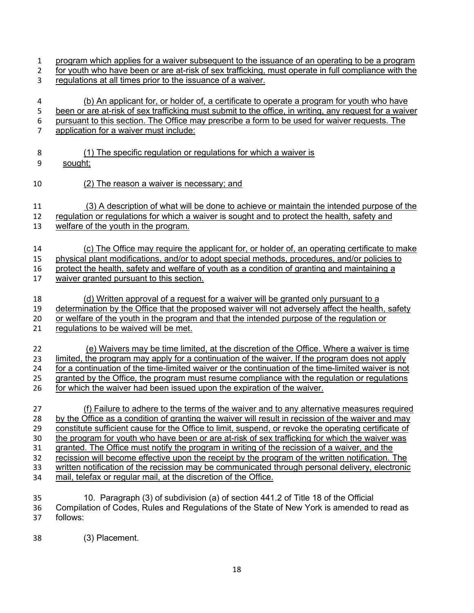- program which applies for a waiver subsequent to the issuance of an operating to be a program
- for youth who have been or are at-risk of sex trafficking, must operate in full compliance with the regulations at all times prior to the issuance of a waiver.
- (b) An applicant for, or holder of, a certificate to operate a program for youth who have 5 been or are at-risk of sex trafficking must submit to the office, in writing, any request for a waiver
- pursuant to this section. The Office may prescribe a form to be used for waiver requests. The
- application for a waiver must include:
- (1) The specific regulation or regulations for which a waiver is
- sought;
- (2) The reason a waiver is necessary; and

(3) A description of what will be done to achieve or maintain the intended purpose of the

- regulation or regulations for which a waiver is sought and to protect the health, safety and
- welfare of the youth in the program.
- (c) The Office may require the applicant for, or holder of, an operating certificate to make

physical plant modifications, and/or to adopt special methods, procedures, and/or policies to

protect the health, safety and welfare of youth as a condition of granting and maintaining a

- waiver granted pursuant to this section.
- (d) Written approval of a request for a waiver will be granted only pursuant to a
- determination by the Office that the proposed waiver will not adversely affect the health, safety
- 20 or welfare of the youth in the program and that the intended purpose of the regulation or
- regulations to be waived will be met.
- (e) Waivers may be time limited, at the discretion of the Office. Where a waiver is time limited, the program may apply for a continuation of the waiver. If the program does not apply for a continuation of the time-limited waiver or the continuation of the time-limited waiver is not granted by the Office, the program must resume compliance with the regulation or regulations for which the waiver had been issued upon the expiration of the waiver.
- (f) Failure to adhere to the terms of the waiver and to any alternative measures required by the Office as a condition of granting the waiver will result in recission of the waiver and may constitute sufficient cause for the Office to limit, suspend, or revoke the operating certificate of the program for youth who have been or are at-risk of sex trafficking for which the waiver was granted. The Office must notify the program in writing of the recission of a waiver, and the recission will become effective upon the receipt by the program of the written notification. The written notification of the recission may be communicated through personal delivery, electronic mail, telefax or regular mail, at the discretion of the Office.
- 10. Paragraph (3) of subdivision (a) of section 441.2 of Title 18 of the Official Compilation of Codes, Rules and Regulations of the State of New York is amended to read as follows:
- (3) Placement.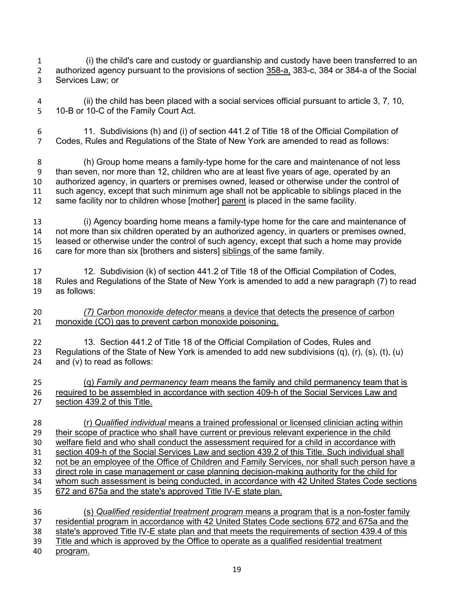(i) the child's care and custody or guardianship and custody have been transferred to an authorized agency pursuant to the provisions of section 358-a, 383-c, 384 or 384-a of the Social Services Law; or

 (ii) the child has been placed with a social services official pursuant to article 3, 7, 10, 10-B or 10-C of the Family Court Act.

 11. Subdivisions (h) and (i) of section 441.2 of Title 18 of the Official Compilation of Codes, Rules and Regulations of the State of New York are amended to read as follows:

 (h) Group home means a family-type home for the care and maintenance of not less than seven, nor more than 12, children who are at least five years of age, operated by an authorized agency, in quarters or premises owned, leased or otherwise under the control of such agency, except that such minimum age shall not be applicable to siblings placed in the same facility nor to children whose [mother] parent is placed in the same facility.

 (i) Agency boarding home means a family-type home for the care and maintenance of not more than six children operated by an authorized agency, in quarters or premises owned, leased or otherwise under the control of such agency, except that such a home may provide care for more than six [brothers and sisters] siblings of the same family.

 12. Subdivision (k) of section 441.2 of Title 18 of the Official Compilation of Codes, Rules and Regulations of the State of New York is amended to add a new paragraph (7) to read as follows:

 *(7) Carbon monoxide detector* means a device that detects the presence of carbon monoxide (CO) gas to prevent carbon monoxide poisoning.

 13. Section 441.2 of Title 18 of the Official Compilation of Codes, Rules and 23 Regulations of the State of New York is amended to add new subdivisions  $(q)$ ,  $(r)$ ,  $(s)$ ,  $(t)$ ,  $(u)$ and (v) to read as follows:

 (q) *Family and permanency team* means the family and child permanency team that is required to be assembled in accordance with section 409-h of the Social Services Law and section 439.2 of this Title.

 (r) *Qualified individual* means a trained professional or licensed clinician acting within their scope of practice who shall have current or previous relevant experience in the child welfare field and who shall conduct the assessment required for a child in accordance with section 409-h of the Social Services Law and section 439.2 of this Title. Such individual shall not be an employee of the Office of Children and Family Services, nor shall such person have a direct role in case management or case planning decision-making authority for the child for 34 whom such assessment is being conducted, in accordance with 42 United States Code sections 672 and 675a and the state's approved Title IV-E state plan. (s) *Qualified residential treatment program* means a program that is a non-foster family

 residential program in accordance with 42 United States Code sections 672 and 675a and the state's approved Title IV-E state plan and that meets the requirements of section 439.4 of this 39 Title and which is approved by the Office to operate as a qualified residential treatment

program.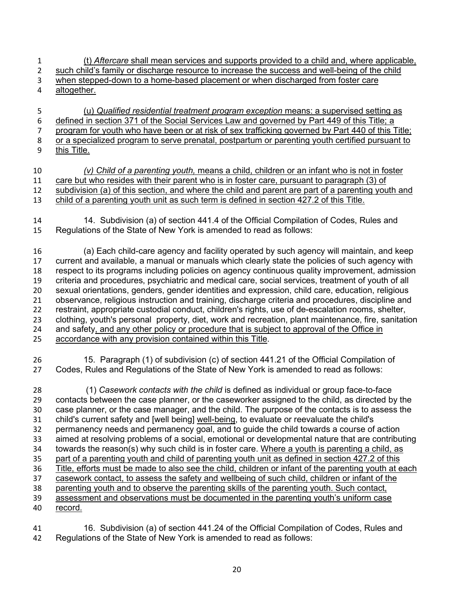- (t) *Aftercare* shall mean services and supports provided to a child and, where applicable, 2 such child's family or discharge resource to increase the success and well-being of the child when stepped-down to a home-based placement or when discharged from foster care altogether.
- (u) *Qualified residential treatment program exception* means: a supervised setting as 6 defined in section 371 of the Social Services Law and governed by Part 449 of this Title; a program for youth who have been or at risk of sex trafficking governed by Part 440 of this Title; 8 or a specialized program to serve prenatal, postpartum or parenting youth certified pursuant to this Title. this Title.
- *(v) Child of a parenting youth,* means a child, children or an infant who is not in foster care but who resides with their parent who is in foster care, pursuant to paragraph (3) of subdivision (a) of this section, and where the child and parent are part of a parenting youth and child of a parenting youth unit as such term is defined in section 427.2 of this Title.
- 14. Subdivision (a) of section 441.4 of the Official Compilation of Codes, Rules and Regulations of the State of New York is amended to read as follows:

 (a) Each child-care agency and facility operated by such agency will maintain, and keep current and available, a manual or manuals which clearly state the policies of such agency with respect to its programs including policies on agency continuous quality improvement, admission criteria and procedures, psychiatric and medical care, social services, treatment of youth of all sexual orientations, genders, gender identities and expression, child care, education, religious observance, religious instruction and training, discharge criteria and procedures, discipline and restraint, appropriate custodial conduct, children's rights, use of de-escalation rooms, shelter, clothing, youth's personal property, diet, work and recreation, plant maintenance, fire, sanitation and safety, and any other policy or procedure that is subject to approval of the Office in 25 accordance with any provision contained within this Title.

 15. Paragraph (1) of subdivision (c) of section 441.21 of the Official Compilation of Codes, Rules and Regulations of the State of New York is amended to read as follows:

 (1) *Casework contacts with the child* is defined as individual or group face-to-face contacts between the case planner, or the caseworker assigned to the child, as directed by the case planner, or the case manager, and the child. The purpose of the contacts is to assess the child's current safety and [well being] well-being, to evaluate or reevaluate the child's permanency needs and permanency goal, and to guide the child towards a course of action aimed at resolving problems of a social, emotional or developmental nature that are contributing towards the reason(s) why such child is in foster care. Where a youth is parenting a child, as part of a parenting youth and child of parenting youth unit as defined in section 427.2 of this Title, efforts must be made to also see the child, children or infant of the parenting youth at each casework contact, to assess the safety and wellbeing of such child, children or infant of the parenting youth and to observe the parenting skills of the parenting youth. Such contact, assessment and observations must be documented in the parenting youth's uniform case record.

 16. Subdivision (a) of section 441.24 of the Official Compilation of Codes, Rules and Regulations of the State of New York is amended to read as follows: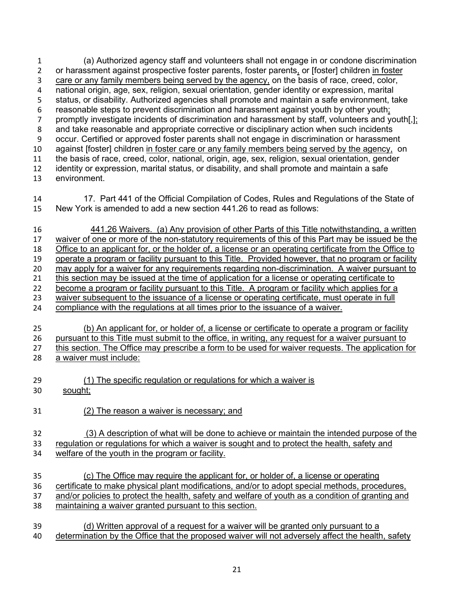(a) Authorized agency staff and volunteers shall not engage in or condone discrimination or harassment against prospective foster parents, foster parents, or [foster] children in foster 3 care or any family members being served by the agency, on the basis of race, creed, color,<br>4 national origin, age, sex, religion, sexual orientation, gender identity or expression, marital national origin, age, sex, religion, sexual orientation, gender identity or expression, marital status, or disability. Authorized agencies shall promote and maintain a safe environment, take reasonable steps to prevent discrimination and harassment against youth by other youth; 7 promptly investigate incidents of discrimination and harassment by staff, volunteers and youth[,]; and take reasonable and appropriate corrective or disciplinary action when such incidents occur. Certified or approved foster parents shall not engage in discrimination or harassment against [foster] children in foster care or any family members being served by the agency, on the basis of race, creed, color, national, origin, age, sex, religion, sexual orientation, gender identity or expression, marital status, or disability, and shall promote and maintain a safe environment.

- 17. Part 441 of the Official Compilation of Codes, Rules and Regulations of the State of New York is amended to add a new section 441.26 to read as follows:
- 441.26 Waivers. (a) Any provision of other Parts of this Title notwithstanding, a written waiver of one or more of the non-statutory requirements of this of this Part may be issued be the Office to an applicant for, or the holder of, a license or an operating certificate from the Office to operate a program or facility pursuant to this Title. Provided however, that no program or facility may apply for a waiver for any requirements regarding non-discrimination. A waiver pursuant to 21 this section may be issued at the time of application for a license or operating certificate to become a program or facility pursuant to this Title. A program or facility which applies for a waiver subsequent to the issuance of a license or operating certificate, must operate in full compliance with the regulations at all times prior to the issuance of a waiver.
- (b) An applicant for, or holder of, a license or certificate to operate a program or facility pursuant to this Title must submit to the office, in writing, any request for a waiver pursuant to this section. The Office may prescribe a form to be used for waiver requests. The application for a waiver must include:
- (1) The specific regulation or regulations for which a waiver is
- sought;
- (2) The reason a waiver is necessary; and

## (3) A description of what will be done to achieve or maintain the intended purpose of the regulation or regulations for which a waiver is sought and to protect the health, safety and welfare of the youth in the program or facility.

- (c) The Office may require the applicant for, or holder of, a license or operating certificate to make physical plant modifications, and/or to adopt special methods, procedures, 37 and/or policies to protect the health, safety and welfare of youth as a condition of granting and maintaining a waiver granted pursuant to this section.
- 39 (d) Written approval of a request for a waiver will be granted only pursuant to a<br>40 determination by the Office that the proposed waiver will not adversely affect the health determination by the Office that the proposed waiver will not adversely affect the health, safety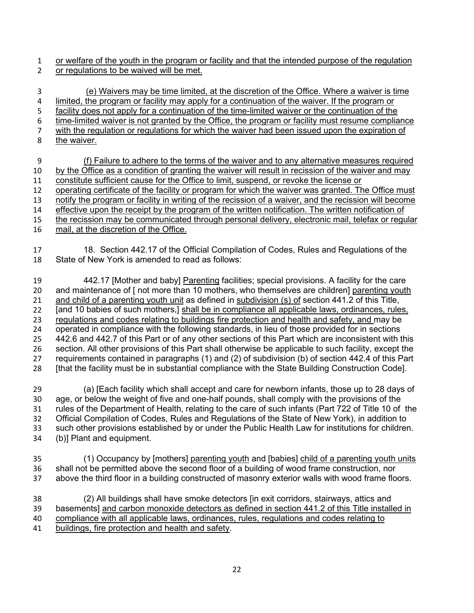or welfare of the youth in the program or facility and that the intended purpose of the regulation or regulations to be waived will be met.

 (e) Waivers may be time limited, at the discretion of the Office. Where a waiver is time limited, the program or facility may apply for a continuation of the waiver. If the program or 5 facility does not apply for a continuation of the time-limited waiver or the continuation of the time-limited waiver is not granted by the Office, the program or facility must resume compliance with the regulation or regulations for which the waiver had been issued upon the expiration of the waiver.

 (f) Failure to adhere to the terms of the waiver and to any alternative measures required by the Office as a condition of granting the waiver will result in recission of the waiver and may constitute sufficient cause for the Office to limit, suspend, or revoke the license or operating certificate of the facility or program for which the waiver was granted. The Office must notify the program or facility in writing of the recission of a waiver, and the recission will become 14 effective upon the receipt by the program of the written notification. The written notification of the recission may be communicated through personal delivery, electronic mail, telefax or regular mail, at the discretion of the Office.

 18. Section 442.17 of the Official Compilation of Codes, Rules and Regulations of the State of New York is amended to read as follows:

19 442.17 [Mother and baby] Parenting facilities; special provisions. A facility for the care 20 and maintenance of [ not more than 10 mothers, who themselves are children] parenting youth 21 and child of a parenting youth unit as defined in subdivision (s) of section 441.2 of this Title, [and 10 babies of such mothers,] shall be in compliance all applicable laws, ordinances, rules, regulations and codes relating to buildings fire protection and health and safety, and may be operated in compliance with the following standards, in lieu of those provided for in sections 442.6 and 442.7 of this Part or of any other sections of this Part which are inconsistent with this section. All other provisions of this Part shall otherwise be applicable to such facility, except the requirements contained in paragraphs (1) and (2) of subdivision (b) of section 442.4 of this Part [that the facility must be in substantial compliance with the State Building Construction Code].

 (a) [Each facility which shall accept and care for newborn infants, those up to 28 days of age, or below the weight of five and one-half pounds, shall comply with the provisions of the rules of the Department of Health, relating to the care of such infants (Part 722 of Title 10 of the Official Compilation of Codes, Rules and Regulations of the State of New York), in addition to such other provisions established by or under the Public Health Law for institutions for children. (b)] Plant and equipment.

35 (1) Occupancy by [mothers] parenting youth and [babies] child of a parenting youth units shall not be permitted above the second floor of a building of wood frame construction, nor above the third floor in a building constructed of masonry exterior walls with wood frame floors.

 (2) All buildings shall have smoke detectors [in exit corridors, stairways, attics and basements] and carbon monoxide detectors as defined in section 441.2 of this Title installed in compliance with all applicable laws, ordinances, rules, regulations and codes relating to buildings, fire protection and health and safety.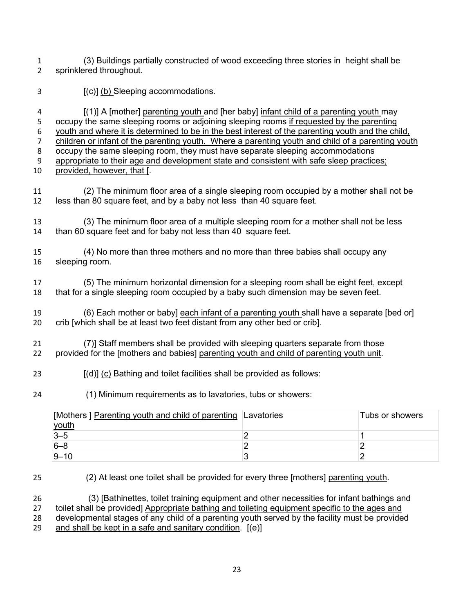(3) Buildings partially constructed of wood exceeding three stories in height shall be sprinklered throughout.

3 [(c)] (b) Sleeping accommodations.

 [(1)] A [mother] parenting youth and [her baby] infant child of a parenting youth may occupy the same sleeping rooms or adjoining sleeping rooms if requested by the parenting youth and where it is determined to be in the best interest of the parenting youth and the child, children or infant of the parenting youth. Where a parenting youth and child of a parenting youth occupy the same sleeping room, they must have separate sleeping accommodations appropriate to their age and development state and consistent with safe sleep practices; provided, however, that [.

- (2) The minimum floor area of a single sleeping room occupied by a mother shall not be less than 80 square feet, and by a baby not less than 40 square feet.
- (3) The minimum floor area of a multiple sleeping room for a mother shall not be less than 60 square feet and for baby not less than 40 square feet.
- (4) No more than three mothers and no more than three babies shall occupy any sleeping room.

 (5) The minimum horizontal dimension for a sleeping room shall be eight feet, except that for a single sleeping room occupied by a baby such dimension may be seven feet.

19 (6) Each mother or baby] each infant of a parenting youth shall have a separate [bed or] crib [which shall be at least two feet distant from any other bed or crib].

 (7)] Staff members shall be provided with sleeping quarters separate from those provided for the [mothers and babies] parenting youth and child of parenting youth unit.

- [(d)] (c) Bathing and toilet facilities shall be provided as follows:
- (1) Minimum requirements as to lavatories, tubs or showers:

| [Mothers] Parenting youth and child of parenting Lavatories | Tubs or showers |
|-------------------------------------------------------------|-----------------|
| youth                                                       |                 |
| $3 - 5$                                                     |                 |
| $6 - 8$                                                     |                 |
| $9 - 10$                                                    |                 |

(2) At least one toilet shall be provided for every three [mothers] parenting youth.

 (3) [Bathinettes, toilet training equipment and other necessities for infant bathings and 27 toilet shall be provided] Appropriate bathing and toileting equipment specific to the ages and developmental stages of any child of a parenting youth served by the facility must be provided and shall be kept in a safe and sanitary condition. [(e)]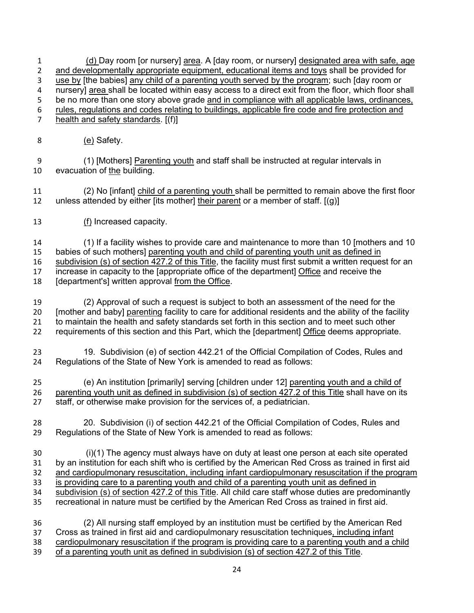(d) Day room [or nursery] area. A [day room, or nursery] designated area with safe, age and developmentally appropriate equipment, educational items and toys shall be provided for 3 use by [the babies] any child of a parenting youth served by the program; such [day room or<br>4 nursery] area shall be located within easy access to a direct exit from the floor, which floor sh nursery] area shall be located within easy access to a direct exit from the floor, which floor shall 5 be no more than one story above grade and in compliance with all applicable laws, ordinances, rules, regulations and codes relating to buildings, applicable fire code and fire protection and health and safety standards. [(f)] 8 (e) Safety.

 (1) [Mothers] Parenting youth and staff shall be instructed at regular intervals in evacuation of the building.

 (2) No [infant] child of a parenting youth shall be permitted to remain above the first floor unless attended by either [its mother] their parent or a member of staff. [(g)]

(f) Increased capacity.

 (1) If a facility wishes to provide care and maintenance to more than 10 [mothers and 10 babies of such mothers] parenting youth and child of parenting youth unit as defined in 16 subdivision (s) of section 427.2 of this Title, the facility must first submit a written request for an

increase in capacity to the [appropriate office of the department] Office and receive the

18 [department's] written approval from the Office.

 (2) Approval of such a request is subject to both an assessment of the need for the [mother and baby] parenting facility to care for additional residents and the ability of the facility to maintain the health and safety standards set forth in this section and to meet such other requirements of this section and this Part, which the [department] Office deems appropriate.

 19. Subdivision (e) of section 442.21 of the Official Compilation of Codes, Rules and Regulations of the State of New York is amended to read as follows:

 (e) An institution [primarily] serving [children under 12] parenting youth and a child of parenting youth unit as defined in subdivision (s) of section 427.2 of this Title shall have on its staff, or otherwise make provision for the services of, a pediatrician.

 20. Subdivision (i) of section 442.21 of the Official Compilation of Codes, Rules and Regulations of the State of New York is amended to read as follows:

 (i)(1) The agency must always have on duty at least one person at each site operated by an institution for each shift who is certified by the American Red Cross as trained in first aid and cardiopulmonary resuscitation, including infant cardiopulmonary resuscitation if the program is providing care to a parenting youth and child of a parenting youth unit as defined in subdivision (s) of section 427.2 of this Title. All child care staff whose duties are predominantly recreational in nature must be certified by the American Red Cross as trained in first aid.

 (2) All nursing staff employed by an institution must be certified by the American Red 37 Cross as trained in first aid and cardiopulmonary resuscitation techniques, including infant cardiopulmonary resuscitation if the program is providing care to a parenting youth and a child of a parenting youth unit as defined in subdivision (s) of section 427.2 of this Title.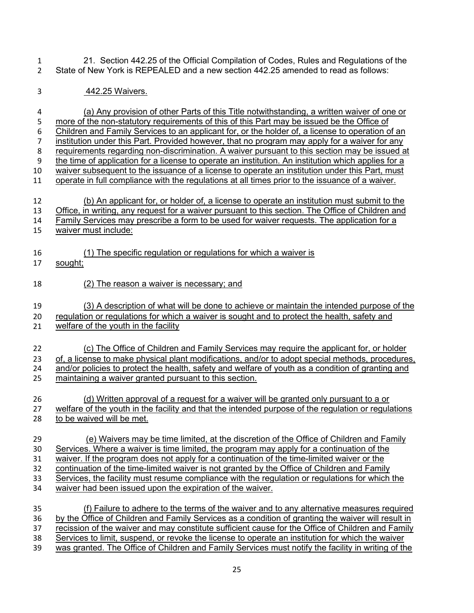21. Section 442.25 of the Official Compilation of Codes, Rules and Regulations of the State of New York is REPEALED and a new section 442.25 amended to read as follows:

442.25 Waivers.

 (a) Any provision of other Parts of this Title notwithstanding, a written waiver of one or 5 more of the non-statutory requirements of this of this Part may be issued be the Office of 6 Children and Family Services to an applicant for, or the holder of, a license to operation c Children and Family Services to an applicant for, or the holder of, a license to operation of an institution under this Part. Provided however, that no program may apply for a waiver for any requirements regarding non-discrimination. A waiver pursuant to this section may be issued at the time of application for a license to operate an institution. An institution which applies for a waiver subsequent to the issuance of a license to operate an institution under this Part, must operate in full compliance with the regulations at all times prior to the issuance of a waiver. (b) An applicant for, or holder of, a license to operate an institution must submit to the Office, in writing, any request for a waiver pursuant to this section. The Office of Children and Family Services may prescribe a form to be used for waiver requests. The application for a waiver must include: (1) The specific regulation or regulations for which a waiver is sought; (2) The reason a waiver is necessary; and (3) A description of what will be done to achieve or maintain the intended purpose of the regulation or regulations for which a waiver is sought and to protect the health, safety and welfare of the youth in the facility (c) The Office of Children and Family Services may require the applicant for, or holder of, a license to make physical plant modifications, and/or to adopt special methods, procedures, and/or policies to protect the health, safety and welfare of youth as a condition of granting and maintaining a waiver granted pursuant to this section. (d) Written approval of a request for a waiver will be granted only pursuant to a or 27 welfare of the youth in the facility and that the intended purpose of the regulation or regulations to be waived will be met. (e) Waivers may be time limited, at the discretion of the Office of Children and Family Services. Where a waiver is time limited, the program may apply for a continuation of the 31 waiver. If the program does not apply for a continuation of the time-limited waiver or the 32 continuation of the time-limited waiver is not granted by the Office of Children and Family Services, the facility must resume compliance with the regulation or regulations for which the waiver had been issued upon the expiration of the waiver. (f) Failure to adhere to the terms of the waiver and to any alternative measures required by the Office of Children and Family Services as a condition of granting the waiver will result in recission of the waiver and may constitute sufficient cause for the Office of Children and Family

- Services to limit, suspend, or revoke the license to operate an institution for which the waiver
- 39 was granted. The Office of Children and Family Services must notify the facility in writing of the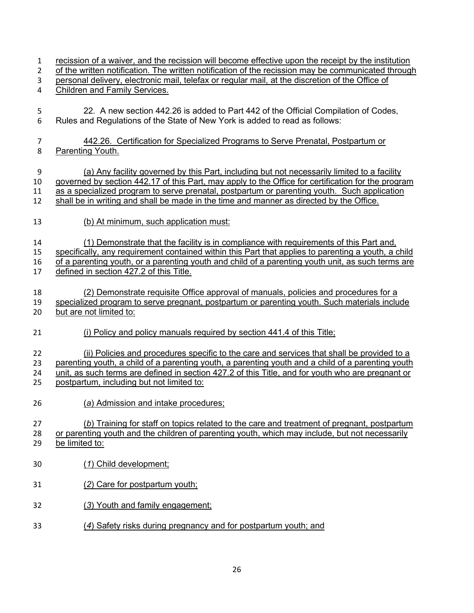recission of a waiver, and the recission will become effective upon the receipt by the institution 2 of the written notification. The written notification of the recission may be communicated through personal delivery, electronic mail, telefax or regular mail, at the discretion of the Office of Children and Family Services. 22. A new section 442.26 is added to Part 442 of the Official Compilation of Codes, Rules and Regulations of the State of New York is added to read as follows: 442.26. Certification for Specialized Programs to Serve Prenatal, Postpartum or Parenting Youth. (a) Any facility governed by this Part, including but not necessarily limited to a facility governed by section 442.17 of this Part, may apply to the Office for certification for the program as a specialized program to serve prenatal, postpartum or parenting youth. Such application shall be in writing and shall be made in the time and manner as directed by the Office. (b) At minimum, such application must: (1) Demonstrate that the facility is in compliance with requirements of this Part and, specifically, any requirement contained within this Part that applies to parenting a youth, a child of a parenting youth, or a parenting youth and child of a parenting youth unit, as such terms are defined in section 427.2 of this Title. (2) Demonstrate requisite Office approval of manuals, policies and procedures for a specialized program to serve pregnant, postpartum or parenting youth. Such materials include but are not limited to: (i) Policy and policy manuals required by section 441.4 of this Title; (ii) Policies and procedures specific to the care and services that shall be provided to a parenting youth, a child of a parenting youth, a parenting youth and a child of a parenting youth unit, as such terms are defined in section 427.2 of this Title, and for youth who are pregnant or postpartum, including but not limited to: (*a*) Admission and intake procedures; (*b*) Training for staff on topics related to the care and treatment of pregnant, postpartum or parenting youth and the children of parenting youth, which may include, but not necessarily be limited to: (*1*) Child development; (*2*) Care for postpartum youth; (*3*) Youth and family engagement; (*4*) Safety risks during pregnancy and for postpartum youth; and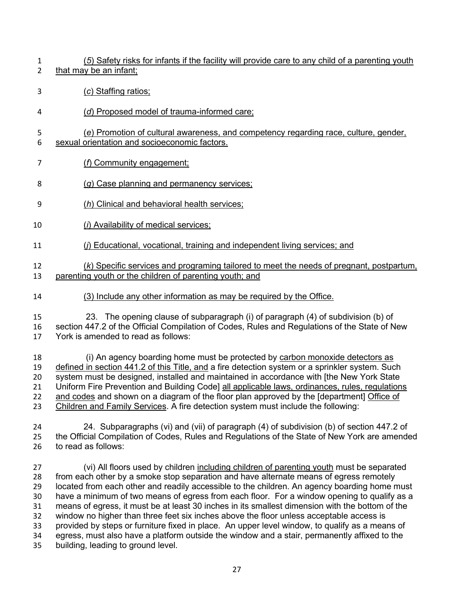- (*5*) Safety risks for infants if the facility will provide care to any child of a parenting youth that may be an infant;
- (*c*) Staffing ratios;
- (*d*) Proposed model of trauma-informed care;
- (*e*) Promotion of cultural awareness, and competency regarding race, culture, gender, sexual orientation and socioeconomic factors.
- (*f*) Community engagement;
- (*g*) Case planning and permanency services;
- (*h*) Clinical and behavioral health services;
- (*i*) Availability of medical services;
- (*j*) Educational, vocational, training and independent living services; and

## (*k*) Specific services and programing tailored to meet the needs of pregnant, postpartum, parenting youth or the children of parenting youth; and

- (3) Include any other information as may be required by the Office.
- 23. The opening clause of subparagraph (i) of paragraph (4) of subdivision (b) of section 447.2 of the Official Compilation of Codes, Rules and Regulations of the State of New York is amended to read as follows:

 (i) An agency boarding home must be protected by carbon monoxide detectors as defined in section 441.2 of this Title, and a fire detection system or a sprinkler system. Such system must be designed, installed and maintained in accordance with [the New York State Uniform Fire Prevention and Building Code] all applicable laws, ordinances, rules, regulations 22 and codes and shown on a diagram of the floor plan approved by the [department] Office of Children and Family Services. A fire detection system must include the following:

 24. Subparagraphs (vi) and (vii) of paragraph (4) of subdivision (b) of section 447.2 of the Official Compilation of Codes, Rules and Regulations of the State of New York are amended to read as follows:

 (vi) All floors used by children including children of parenting youth must be separated from each other by a smoke stop separation and have alternate means of egress remotely located from each other and readily accessible to the children. An agency boarding home must have a minimum of two means of egress from each floor. For a window opening to qualify as a means of egress, it must be at least 30 inches in its smallest dimension with the bottom of the window no higher than three feet six inches above the floor unless acceptable access is provided by steps or furniture fixed in place. An upper level window, to qualify as a means of egress, must also have a platform outside the window and a stair, permanently affixed to the building, leading to ground level.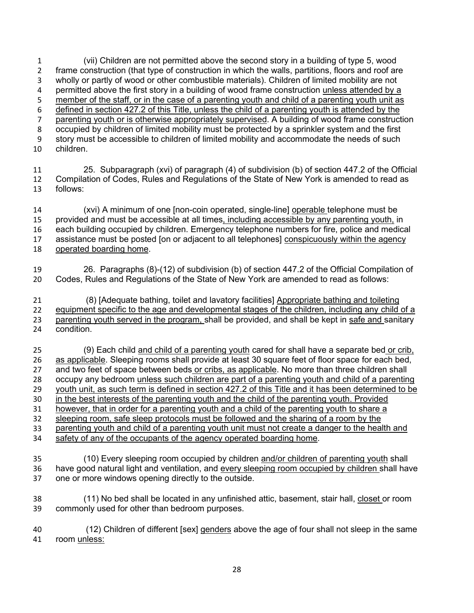(vii) Children are not permitted above the second story in a building of type 5, wood frame construction (that type of construction in which the walls, partitions, floors and roof are wholly or partly of wood or other combustible materials). Children of limited mobility are not 4 permitted above the first story in a building of wood frame construction unless attended by a member of the staff, or in the case of a parenting youth and child of a parenting youth unit as defined in section 427.2 of this Title, unless the child of a parenting youth is attended by the parenting youth or is otherwise appropriately supervised. A building of wood frame construction occupied by children of limited mobility must be protected by a sprinkler system and the first story must be accessible to children of limited mobility and accommodate the needs of such children.

 25. Subparagraph (xvi) of paragraph (4) of subdivision (b) of section 447.2 of the Official Compilation of Codes, Rules and Regulations of the State of New York is amended to read as follows:

 (xvi) A minimum of one [non-coin operated, single-line] operable telephone must be provided and must be accessible at all times, including accessible by any parenting youth, in each building occupied by children. Emergency telephone numbers for fire, police and medical assistance must be posted [on or adjacent to all telephones] conspicuously within the agency operated boarding home.

 26. Paragraphs (8)-(12) of subdivision (b) of section 447.2 of the Official Compilation of Codes, Rules and Regulations of the State of New York are amended to read as follows:

 (8) [Adequate bathing, toilet and lavatory facilities] Appropriate bathing and toileting equipment specific to the age and developmental stages of the children, including any child of a parenting youth served in the program, shall be provided, and shall be kept in safe and sanitary condition.

 (9) Each child and child of a parenting youth cared for shall have a separate bed or crib, as applicable. Sleeping rooms shall provide at least 30 square feet of floor space for each bed, 27 and two feet of space between beds or cribs, as applicable. No more than three children shall<br>28 occupy any bedroom unless such children are part of a parenting youth and child of a parentin occupy any bedroom unless such children are part of a parenting youth and child of a parenting youth unit, as such term is defined in section 427.2 of this Title and it has been determined to be in the best interests of the parenting youth and the child of the parenting youth. Provided however, that in order for a parenting youth and a child of the parenting youth to share a sleeping room, safe sleep protocols must be followed and the sharing of a room by the parenting youth and child of a parenting youth unit must not create a danger to the health and safety of any of the occupants of the agency operated boarding home.

 (10) Every sleeping room occupied by children and/or children of parenting youth shall have good natural light and ventilation, and every sleeping room occupied by children shall have one or more windows opening directly to the outside.

 (11) No bed shall be located in any unfinished attic, basement, stair hall, closet or room commonly used for other than bedroom purposes.

 (12) Children of different [sex] genders above the age of four shall not sleep in the same room unless: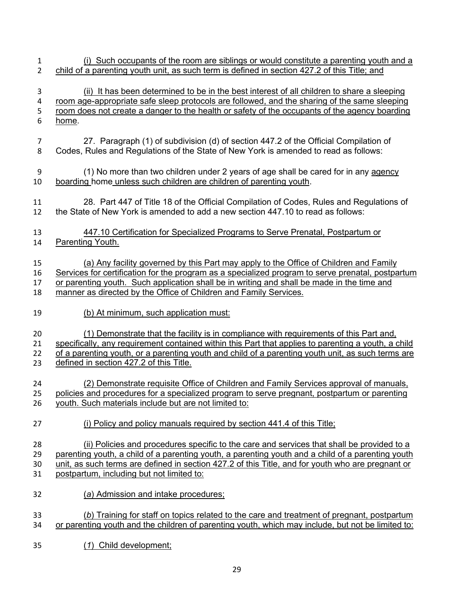(i) Such occupants of the room are siblings or would constitute a parenting youth and a child of a parenting youth unit, as such term is defined in section 427.2 of this Title; and (ii) It has been determined to be in the best interest of all children to share a sleeping room age-appropriate safe sleep protocols are followed, and the sharing of the same sleeping 5 room does not create a danger to the health or safety of the occupants of the agency boarding home. 27. Paragraph (1) of subdivision (d) of section 447.2 of the Official Compilation of Codes, Rules and Regulations of the State of New York is amended to read as follows: (1) No more than two children under 2 years of age shall be cared for in any agency boarding home unless such children are children of parenting youth. 28. Part 447 of Title 18 of the Official Compilation of Codes, Rules and Regulations of the State of New York is amended to add a new section 447.10 to read as follows: 447.10 Certification for Specialized Programs to Serve Prenatal, Postpartum or Parenting Youth. (a) Any facility governed by this Part may apply to the Office of Children and Family Services for certification for the program as a specialized program to serve prenatal, postpartum or parenting youth. Such application shall be in writing and shall be made in the time and manner as directed by the Office of Children and Family Services. (b) At minimum, such application must: (1) Demonstrate that the facility is in compliance with requirements of this Part and, 22 specifically, any requirement contained within this Part that applies to parenting a youth, a child 22 of a parenting youth, or a parenting youth and child of a parenting youth unit, as such terms are defined in section 427.2 of this Title. (2) Demonstrate requisite Office of Children and Family Services approval of manuals, policies and procedures for a specialized program to serve pregnant, postpartum or parenting youth. Such materials include but are not limited to: (i) Policy and policy manuals required by section 441.4 of this Title; (ii) Policies and procedures specific to the care and services that shall be provided to a parenting youth, a child of a parenting youth, a parenting youth and a child of a parenting youth unit, as such terms are defined in section 427.2 of this Title, and for youth who are pregnant or postpartum, including but not limited to: (*a*) Admission and intake procedures; (*b*) Training for staff on topics related to the care and treatment of pregnant, postpartum or parenting youth and the children of parenting youth, which may include, but not be limited to: (*1*) Child development;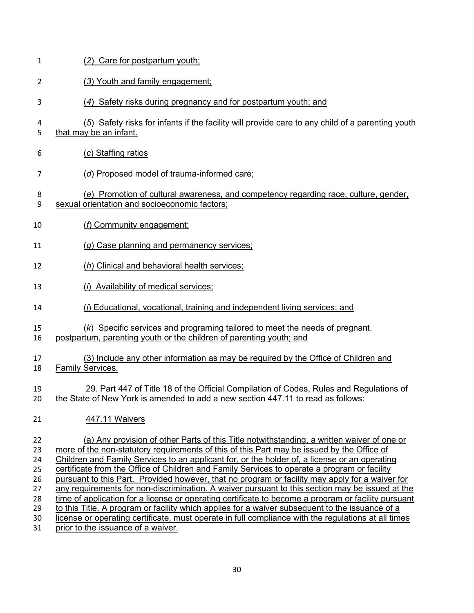| 1                          | (2) Care for postpartum youth;                                                                                                                                                                                                                                                                                                                                                                                                                                                               |
|----------------------------|----------------------------------------------------------------------------------------------------------------------------------------------------------------------------------------------------------------------------------------------------------------------------------------------------------------------------------------------------------------------------------------------------------------------------------------------------------------------------------------------|
| 2                          | (3) Youth and family engagement;                                                                                                                                                                                                                                                                                                                                                                                                                                                             |
| 3                          | (4) Safety risks during pregnancy and for postpartum youth; and                                                                                                                                                                                                                                                                                                                                                                                                                              |
| 4<br>5                     | (5) Safety risks for infants if the facility will provide care to any child of a parenting youth<br>that may be an infant.                                                                                                                                                                                                                                                                                                                                                                   |
| 6                          | (c) Staffing ratios                                                                                                                                                                                                                                                                                                                                                                                                                                                                          |
| 7                          | (d) Proposed model of trauma-informed care;                                                                                                                                                                                                                                                                                                                                                                                                                                                  |
| 8<br>9                     | (e) Promotion of cultural awareness, and competency regarding race, culture, gender,<br>sexual orientation and socioeconomic factors;                                                                                                                                                                                                                                                                                                                                                        |
| 10                         | (f) Community engagement;                                                                                                                                                                                                                                                                                                                                                                                                                                                                    |
| 11                         | (g) Case planning and permanency services;                                                                                                                                                                                                                                                                                                                                                                                                                                                   |
| 12                         | (h) Clinical and behavioral health services;                                                                                                                                                                                                                                                                                                                                                                                                                                                 |
| 13                         | (i) Availability of medical services;                                                                                                                                                                                                                                                                                                                                                                                                                                                        |
| 14                         | (i) Educational, vocational, training and independent living services; and                                                                                                                                                                                                                                                                                                                                                                                                                   |
| 15<br>16                   | (k) Specific services and programing tailored to meet the needs of pregnant,<br>postpartum, parenting youth or the children of parenting youth; and                                                                                                                                                                                                                                                                                                                                          |
| 17<br>18                   | (3) Include any other information as may be required by the Office of Children and<br>Family Services.                                                                                                                                                                                                                                                                                                                                                                                       |
| 19<br>20                   | 29. Part 447 of Title 18 of the Official Compilation of Codes, Rules and Regulations of<br>the State of New York is amended to add a new section 447.11 to read as follows:                                                                                                                                                                                                                                                                                                                  |
| 21                         | 447.11 Waivers                                                                                                                                                                                                                                                                                                                                                                                                                                                                               |
| 22<br>23<br>24<br>25<br>26 | (a) Any provision of other Parts of this Title notwithstanding, a written waiver of one or<br>more of the non-statutory requirements of this of this Part may be issued by the Office of<br>Children and Family Services to an applicant for, or the holder of, a license or an operating<br>certificate from the Office of Children and Family Services to operate a program or facility<br>pursuant to this Part. Provided however, that no program or facility may apply for a waiver for |
| 27<br>28<br>29<br>30       | any requirements for non-discrimination. A waiver pursuant to this section may be issued at the<br>time of application for a license or operating certificate to become a program or facility pursuant<br>to this Title. A program or facility which applies for a waiver subsequent to the issuance of a<br>license or operating certificate, must operate in full compliance with the regulations at all times                                                                             |

prior to the issuance of a waiver.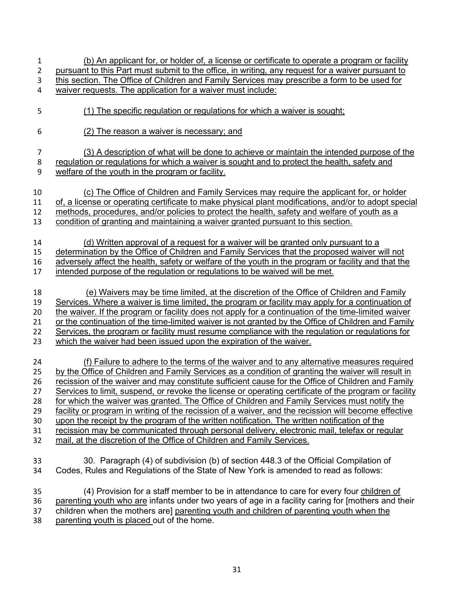| $\mathbf{1}$   | (b) An applicant for, or holder of, a license or certificate to operate a program or facility         |
|----------------|-------------------------------------------------------------------------------------------------------|
| $\overline{2}$ | pursuant to this Part must submit to the office, in writing, any request for a waiver pursuant to     |
| 3              | this section. The Office of Children and Family Services may prescribe a form to be used for          |
| 4              | waiver requests. The application for a waiver must include:                                           |
| 5              | (1) The specific regulation or regulations for which a waiver is sought;                              |
| 6              | (2) The reason a waiver is necessary; and                                                             |
| $\overline{7}$ | (3) A description of what will be done to achieve or maintain the intended purpose of the             |
| 8              | regulation or regulations for which a waiver is sought and to protect the health, safety and          |
| 9              | welfare of the youth in the program or facility.                                                      |
| 10             | (c) The Office of Children and Family Services may require the applicant for, or holder               |
| 11             | of, a license or operating certificate to make physical plant modifications, and/or to adopt special  |
| 12             | methods, procedures, and/or policies to protect the health, safety and welfare of youth as a          |
| 13             | condition of granting and maintaining a waiver granted pursuant to this section.                      |
| 14             | (d) Written approval of a request for a waiver will be granted only pursuant to a                     |
| 15             | determination by the Office of Children and Family Services that the proposed waiver will not         |
| 16             | adversely affect the health, safety or welfare of the youth in the program or facility and that the   |
| 17             | intended purpose of the regulation or regulations to be waived will be met.                           |
| 18             | (e) Waivers may be time limited, at the discretion of the Office of Children and Family               |
| 19             | Services. Where a waiver is time limited, the program or facility may apply for a continuation of     |
| 20             | the waiver. If the program or facility does not apply for a continuation of the time-limited waiver   |
| 21             | or the continuation of the time-limited waiver is not granted by the Office of Children and Family    |
| 22             | Services, the program or facility must resume compliance with the regulation or regulations for       |
| 23             | which the waiver had been issued upon the expiration of the waiver.                                   |
| 24             | (f) Failure to adhere to the terms of the waiver and to any alternative measures required             |
| 25             | by the Office of Children and Family Services as a condition of granting the waiver will result in    |
| 26             | recission of the waiver and may constitute sufficient cause for the Office of Children and Family     |
| 27             | Services to limit, suspend, or revoke the license or operating certificate of the program or facility |
| 28             | for which the waiver was granted. The Office of Children and Family Services must notify the          |
| 29             | facility or program in writing of the recission of a waiver, and the recission will become effective  |
| 30             | upon the receipt by the program of the written notification. The written notification of the          |
| 31             | recission may be communicated through personal delivery, electronic mail, telefax or regular          |
| 32             | mail, at the discretion of the Office of Children and Family Services.                                |
| 33             | 30. Paragraph (4) of subdivision (b) of section 448.3 of the Official Compilation of                  |
| 34             | Codes, Rules and Regulations of the State of New York is amended to read as follows:                  |
| 35             | (4) Provision for a staff member to be in attendance to care for every four children of               |
| 36             | parenting youth who are infants under two years of age in a facility caring for [mothers and their    |
| 37             | children when the mothers are] parenting youth and children of parenting youth when the               |
| 38             | parenting youth is placed out of the home.                                                            |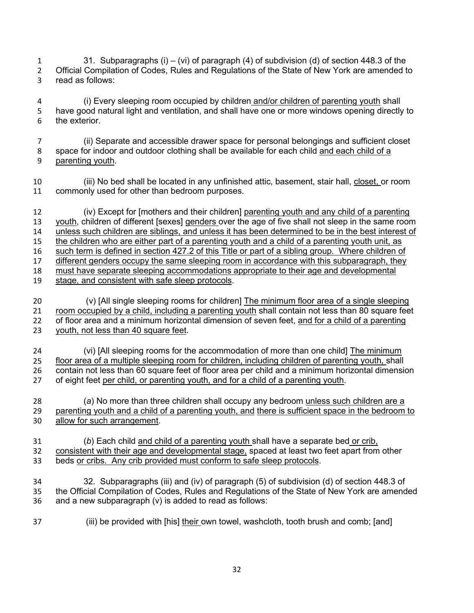31. Subparagraphs (i) – (vi) of paragraph (4) of subdivision (d) of section 448.3 of the Official Compilation of Codes, Rules and Regulations of the State of New York are amended to read as follows:

 (i) Every sleeping room occupied by children and/or children of parenting youth shall have good natural light and ventilation, and shall have one or more windows opening directly to the exterior.

 (ii) Separate and accessible drawer space for personal belongings and sufficient closet space for indoor and outdoor clothing shall be available for each child and each child of a parenting youth.

 (iii) No bed shall be located in any unfinished attic, basement, stair hall, closet, or room commonly used for other than bedroom purposes.

 (iv) Except for [mothers and their children] parenting youth and any child of a parenting youth, children of different [sexes] genders over the age of five shall not sleep in the same room unless such children are siblings, and unless it has been determined to be in the best interest of the children who are either part of a parenting youth and a child of a parenting youth unit, as such term is defined in section 427.2 of this Title or part of a sibling group. Where children of different genders occupy the same sleeping room in accordance with this subparagraph, they must have separate sleeping accommodations appropriate to their age and developmental stage, and consistent with safe sleep protocols.

20 (v) [All single sleeping rooms for children] The minimum floor area of a single sleeping 21 room occupied by a child, including a parenting youth shall contain not less than 80 square feet of floor area and a minimum horizontal dimension of seven feet, and for a child of a parenting youth, not less than 40 square feet.

 (vi) [All sleeping rooms for the accommodation of more than one child] The minimum floor area of a multiple sleeping room for children, including children of parenting youth, shall contain not less than 60 square feet of floor area per child and a minimum horizontal dimension of eight feet per child, or parenting youth, and for a child of a parenting youth.

 (*a*) No more than three children shall occupy any bedroom unless such children are a parenting youth and a child of a parenting youth, and there is sufficient space in the bedroom to allow for such arrangement.

 (*b*) Each child and child of a parenting youth shall have a separate bed or crib, consistent with their age and developmental stage, spaced at least two feet apart from other beds or cribs. Any crib provided must conform to safe sleep protocols.

 32. Subparagraphs (iii) and (iv) of paragraph (5) of subdivision (d) of section 448.3 of the Official Compilation of Codes, Rules and Regulations of the State of New York are amended and a new subparagraph (v) is added to read as follows:

(iii) be provided with [his] their own towel, washcloth, tooth brush and comb; [and]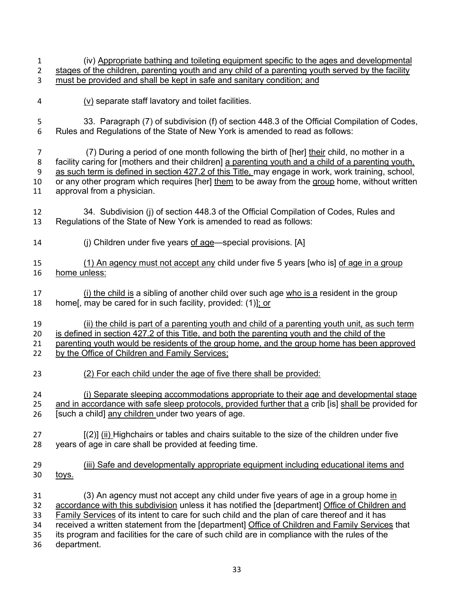(iv) Appropriate bathing and toileting equipment specific to the ages and developmental stages of the children, parenting youth and any child of a parenting youth served by the facility must be provided and shall be kept in safe and sanitary condition; and (v) separate staff lavatory and toilet facilities. 5 33. Paragraph (7) of subdivision (f) of section 448.3 of the Official Compilation of Codes,<br>6 Rules and Regulations of the State of New York is amended to read as follows: Rules and Regulations of the State of New York is amended to read as follows: 7 (7) During a period of one month following the birth of [her] their child, no mother in a facility caring for [mothers and their children] a parenting youth and a child of a parenting youth, as such term is defined in section 427.2 of this Title, may engage in work, work training, school, or any other program which requires [her] them to be away from the group home, without written approval from a physician. 34. Subdivision (j) of section 448.3 of the Official Compilation of Codes, Rules and Regulations of the State of New York is amended to read as follows: (j) Children under five years of age—special provisions. [A] (1) An agency must not accept any child under five 5 years [who is] of age in a group home unless: 17 (i) the child is a sibling of another child over such age who is a resident in the group home[, may be cared for in such facility, provided: (1)]; or (ii) the child is part of a parenting youth and child of a parenting youth unit, as such term is defined in section 427.2 of this Title, and both the parenting youth and the child of the 21 parenting youth would be residents of the group home, and the group home has been approved 22 by the Office of Children and Family Services; (2) For each child under the age of five there shall be provided: (i) Separate sleeping accommodations appropriate to their age and developmental stage 25 and in accordance with safe sleep protocols, provided further that a crib [is] shall be provided for **Isuch a childl any children under two years of age.**  [(2)] (ii) Highchairs or tables and chairs suitable to the size of the children under five years of age in care shall be provided at feeding time. (iii) Safe and developmentally appropriate equipment including educational items and 30 toys. (3) An agency must not accept any child under five years of age in a group home in accordance with this subdivision unless it has notified the [department] Office of Children and Family Services of its intent to care for such child and the plan of care thereof and it has received a written statement from the [department] Office of Children and Family Services that its program and facilities for the care of such child are in compliance with the rules of the department.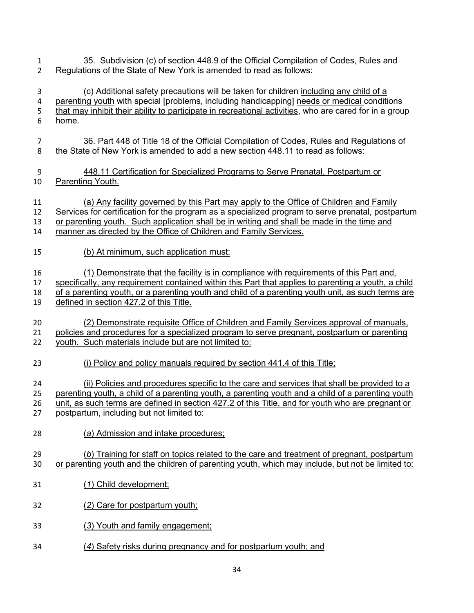- 35. Subdivision (c) of section 448.9 of the Official Compilation of Codes, Rules and Regulations of the State of New York is amended to read as follows:
- (c) Additional safety precautions will be taken for children including any child of a parenting youth with special [problems, including handicapping] needs or medical conditions that may inhibit their ability to participate in recreational activities, who are cared for in a group home.
- 36. Part 448 of Title 18 of the Official Compilation of Codes, Rules and Regulations of the State of New York is amended to add a new section 448.11 to read as follows:
- 448.11 Certification for Specialized Programs to Serve Prenatal, Postpartum or Parenting Youth.
- (a) Any facility governed by this Part may apply to the Office of Children and Family Services for certification for the program as a specialized program to serve prenatal, postpartum
- or parenting youth. Such application shall be in writing and shall be made in the time and
- manner as directed by the Office of Children and Family Services.
- (b) At minimum, such application must:
- (1) Demonstrate that the facility is in compliance with requirements of this Part and,
- specifically, any requirement contained within this Part that applies to parenting a youth, a child
- of a parenting youth, or a parenting youth and child of a parenting youth unit, as such terms are 19 defined in section 427.2 of this Title.
- (2) Demonstrate requisite Office of Children and Family Services approval of manuals, policies and procedures for a specialized program to serve pregnant, postpartum or parenting youth. Such materials include but are not limited to:
- (i) Policy and policy manuals required by section 441.4 of this Title;
- (ii) Policies and procedures specific to the care and services that shall be provided to a parenting youth, a child of a parenting youth, a parenting youth and a child of a parenting youth
- unit, as such terms are defined in section 427.2 of this Title, and for youth who are pregnant or postpartum, including but not limited to:
- (*a*) Admission and intake procedures;
- (*b*) Training for staff on topics related to the care and treatment of pregnant, postpartum or parenting youth and the children of parenting youth, which may include, but not be limited to:
- (*1*) Child development;
- (*2*) Care for postpartum youth;
- (*3*) Youth and family engagement;
- (*4*) Safety risks during pregnancy and for postpartum youth; and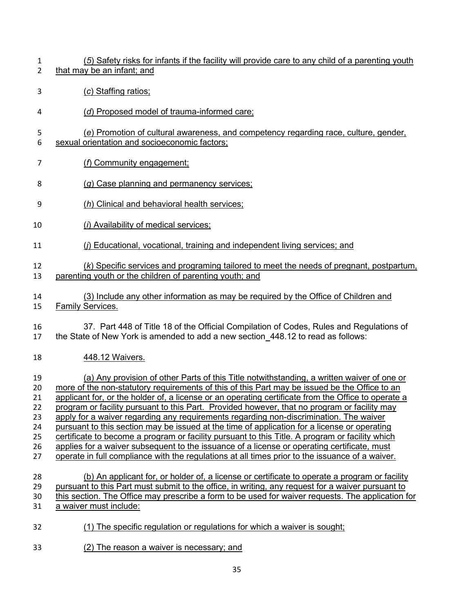- (*5*) Safety risks for infants if the facility will provide care to any child of a parenting youth that may be an infant; and
- (*c*) Staffing ratios;
- (*d*) Proposed model of trauma-informed care;
- (*e*) Promotion of cultural awareness, and competency regarding race, culture, gender, sexual orientation and socioeconomic factors;
- (*f*) Community engagement;
- (*g*) Case planning and permanency services;
- (*h*) Clinical and behavioral health services;
- (*i*) Availability of medical services;
- (*j*) Educational, vocational, training and independent living services; and

## (*k*) Specific services and programing tailored to meet the needs of pregnant, postpartum, parenting youth or the children of parenting youth; and

- (3) Include any other information as may be required by the Office of Children and Family Services.
- 37. Part 448 of Title 18 of the Official Compilation of Codes, Rules and Regulations of the State of New York is amended to add a new section 448.12 to read as follows:
- 448.12 Waivers.

 (a) Any provision of other Parts of this Title notwithstanding, a written waiver of one or more of the non-statutory requirements of this of this Part may be issued be the Office to an applicant for, or the holder of, a license or an operating certificate from the Office to operate a program or facility pursuant to this Part. Provided however, that no program or facility may 23 apply for a waiver regarding any requirements regarding non-discrimination. The waiver pursuant to this section may be issued at the time of application for a license or operating certificate to become a program or facility pursuant to this Title. A program or facility which 26 applies for a waiver subsequent to the issuance of a license or operating certificate, must operate in full compliance with the regulations at all times prior to the issuance of a waiver. (b) An applicant for, or holder of, a license or certificate to operate a program or facility pursuant to this Part must submit to the office, in writing, any request for a waiver pursuant to this section. The Office may prescribe a form to be used for waiver requests. The application for

- 31 a waiver must include:
- (1) The specific regulation or regulations for which a waiver is sought;
- (2) The reason a waiver is necessary; and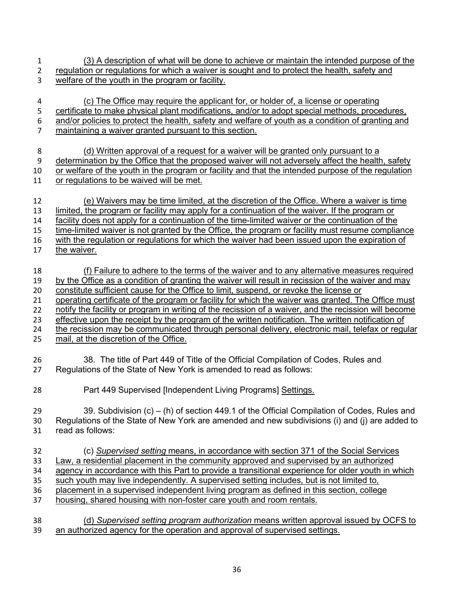- (3) A description of what will be done to achieve or maintain the intended purpose of the regulation or regulations for which a waiver is sought and to protect the health, safety and
- welfare of the youth in the program or facility.
- (c) The Office may require the applicant for, or holder of, a license or operating 5 certificate to make physical plant modifications, and/or to adopt special methods, procedures, and/or policies to protect the health, safety and welfare of youth as a condition of granting and 7 maintaining a waiver granted pursuant to this section.
- (d) Written approval of a request for a waiver will be granted only pursuant to a determination by the Office that the proposed waiver will not adversely affect the health, safety
- or welfare of the youth in the program or facility and that the intended purpose of the regulation
- or regulations to be waived will be met.
- (e) Waivers may be time limited, at the discretion of the Office. Where a waiver is time limited, the program or facility may apply for a continuation of the waiver. If the program or facility does not apply for a continuation of the time-limited waiver or the continuation of the
- time-limited waiver is not granted by the Office, the program or facility must resume compliance
- with the regulation or regulations for which the waiver had been issued upon the expiration of the waiver.
- (f) Failure to adhere to the terms of the waiver and to any alternative measures required 19 by the Office as a condition of granting the waiver will result in recission of the waiver and may
- constitute sufficient cause for the Office to limit, suspend, or revoke the license or
- operating certificate of the program or facility for which the waiver was granted. The Office must
- notify the facility or program in writing of the recission of a waiver, and the recission will become
- effective upon the receipt by the program of the written notification. The written notification of 24 the recission may be communicated through personal delivery, electronic mail, telefax or regular
- 25 mail, at the discretion of the Office.
- 38. The title of Part 449 of Title of the Official Compilation of Codes, Rules and Regulations of the State of New York is amended to read as follows:
- Part 449 Supervised [Independent Living Programs] Settings.
- 39. Subdivision (c) (h) of section 449.1 of the Official Compilation of Codes, Rules and Regulations of the State of New York are amended and new subdivisions (i) and (j) are added to read as follows:
- (c) *Supervised setting* means, in accordance with section 371 of the Social Services Law, a residential placement in the community approved and supervised by an authorized agency in accordance with this Part to provide a transitional experience for older youth in which such youth may live independently. A supervised setting includes, but is not limited to, placement in a supervised independent living program as defined in this section, college housing, shared housing with non-foster care youth and room rentals.
- (d) *Supervised setting program authorization* means written approval issued by OCFS to an authorized agency for the operation and approval of supervised settings.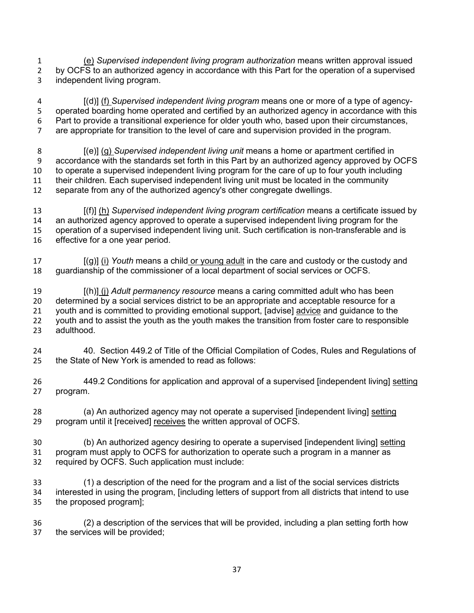(e) *Supervised independent living program authorization* means written approval issued 2 by OCFS to an authorized agency in accordance with this Part for the operation of a supervised independent living program.

 [(d)] (f) *Supervised independent living program* means one or more of a type of agency- operated boarding home operated and certified by an authorized agency in accordance with this Part to provide a transitional experience for older youth who, based upon their circumstances, are appropriate for transition to the level of care and supervision provided in the program.

 [(e)] (g) *Supervised independent living unit* means a home or apartment certified in accordance with the standards set forth in this Part by an authorized agency approved by OCFS to operate a supervised independent living program for the care of up to four youth including their children. Each supervised independent living unit must be located in the community separate from any of the authorized agency's other congregate dwellings.

 [(f)] (h) *Supervised independent living program certification* means a certificate issued by an authorized agency approved to operate a supervised independent living program for the operation of a supervised independent living unit. Such certification is non-transferable and is effective for a one year period.

 [(g)] (i) *Youth* means a child or young adult in the care and custody or the custody and guardianship of the commissioner of a local department of social services or OCFS.

 [(h)] (j) *Adult permanency resource* means a caring committed adult who has been determined by a social services district to be an appropriate and acceptable resource for a 21 youth and is committed to providing emotional support, [advise] advice and guidance to the youth and to assist the youth as the youth makes the transition from foster care to responsible adulthood.

 40. Section 449.2 of Title of the Official Compilation of Codes, Rules and Regulations of the State of New York is amended to read as follows:

 449.2 Conditions for application and approval of a supervised [independent living] setting program.

 (a) An authorized agency may not operate a supervised [independent living] setting program until it [received] receives the written approval of OCFS.

30 (b) An authorized agency desiring to operate a supervised [independent living] setting program must apply to OCFS for authorization to operate such a program in a manner as required by OCFS. Such application must include:

 (1) a description of the need for the program and a list of the social services districts interested in using the program, [including letters of support from all districts that intend to use the proposed program];

 (2) a description of the services that will be provided, including a plan setting forth how the services will be provided;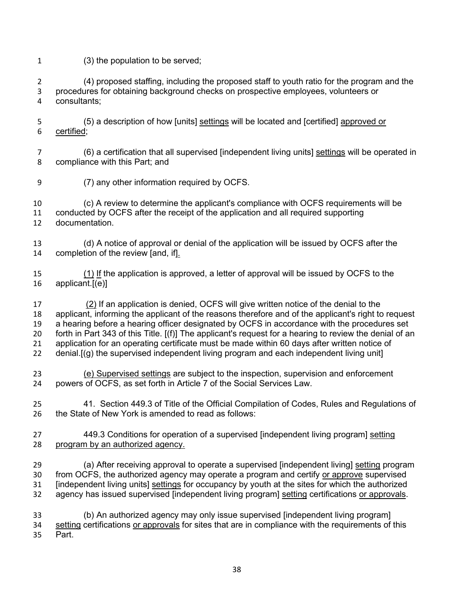(3) the population to be served;

 (4) proposed staffing, including the proposed staff to youth ratio for the program and the procedures for obtaining background checks on prospective employees, volunteers or consultants;

- (5) a description of how [units] settings will be located and [certified] approved or certified;
- (6) a certification that all supervised [independent living units] settings will be operated in compliance with this Part; and
- (7) any other information required by OCFS.

 (c) A review to determine the applicant's compliance with OCFS requirements will be conducted by OCFS after the receipt of the application and all required supporting documentation.

- (d) A notice of approval or denial of the application will be issued by OCFS after the completion of the review [and, if].
- (1) If the application is approved, a letter of approval will be issued by OCFS to the applicant.[(e)]

 (2) If an application is denied, OCFS will give written notice of the denial to the applicant, informing the applicant of the reasons therefore and of the applicant's right to request a hearing before a hearing officer designated by OCFS in accordance with the procedures set forth in Part 343 of this Title. [(f)] The applicant's request for a hearing to review the denial of an application for an operating certificate must be made within 60 days after written notice of denial.[(g) the supervised independent living program and each independent living unit]

 (e) Supervised settings are subject to the inspection, supervision and enforcement powers of OCFS, as set forth in Article 7 of the Social Services Law.

 41. Section 449.3 of Title of the Official Compilation of Codes, Rules and Regulations of the State of New York is amended to read as follows:

- 449.3 Conditions for operation of a supervised [independent living program] setting program by an authorized agency.
- (a) After receiving approval to operate a supervised [independent living] setting program from OCFS, the authorized agency may operate a program and certify or approve supervised 31 [independent living units] settings for occupancy by youth at the sites for which the authorized agency has issued supervised [independent living program] setting certifications or approvals.

 (b) An authorized agency may only issue supervised [independent living program] 34 setting certifications or approvals for sites that are in compliance with the requirements of this Part.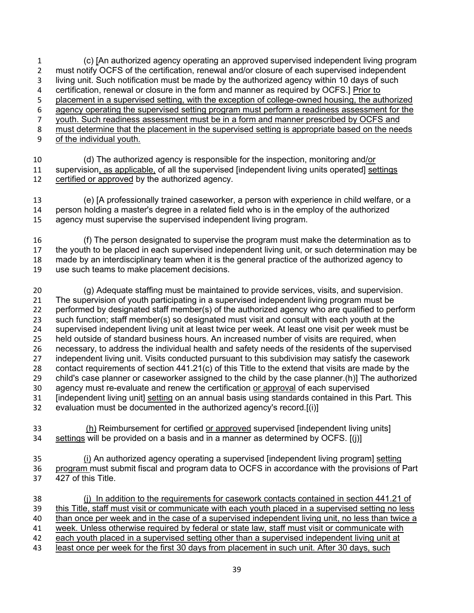(c) [An authorized agency operating an approved supervised independent living program 2 must notify OCFS of the certification, renewal and/or closure of each supervised independent living unit. Such notification must be made by the authorized agency within 10 days of such certification, renewal or closure in the form and manner as required by OCFS.] Prior to placement in a supervised setting, with the exception of college-owned housing, the authorized agency operating the supervised setting program must perform a readiness assessment for the youth. Such readiness assessment must be in a form and manner prescribed by OCFS and must determine that the placement in the supervised setting is appropriate based on the needs of the individual youth.

 (d) The authorized agency is responsible for the inspection, monitoring and/or 11 supervision, as applicable, of all the supervised [independent living units operated] settings 12 certified or approved by the authorized agency. certified or approved by the authorized agency.

 (e) [A professionally trained caseworker, a person with experience in child welfare, or a person holding a master's degree in a related field who is in the employ of the authorized agency must supervise the supervised independent living program.

- (f) The person designated to supervise the program must make the determination as to the youth to be placed in each supervised independent living unit, or such determination may be made by an interdisciplinary team when it is the general practice of the authorized agency to use such teams to make placement decisions.
- (g) Adequate staffing must be maintained to provide services, visits, and supervision. The supervision of youth participating in a supervised independent living program must be performed by designated staff member(s) of the authorized agency who are qualified to perform such function; staff member(s) so designated must visit and consult with each youth at the supervised independent living unit at least twice per week. At least one visit per week must be held outside of standard business hours. An increased number of visits are required, when necessary, to address the individual health and safety needs of the residents of the supervised independent living unit. Visits conducted pursuant to this subdivision may satisfy the casework contact requirements of section 441.21(c) of this Title to the extend that visits are made by the child's case planner or caseworker assigned to the child by the case planner.(h)] The authorized agency must re-evaluate and renew the certification or approval of each supervised [independent living unit] setting on an annual basis using standards contained in this Part. This evaluation must be documented in the authorized agency's record.[(i)]
- (h) Reimbursement for certified or approved supervised [independent living units] 34 settings will be provided on a basis and in a manner as determined by OCFS. [(j)]
- 35 (i) An authorized agency operating a supervised [independent living program] setting 36 program must submit fiscal and program data to OCFS in accordance with the provisions of Part 427 of this Title.

 (j) In addition to the requirements for casework contacts contained in section 441.21 of this Title, staff must visit or communicate with each youth placed in a supervised setting no less than once per week and in the case of a supervised independent living unit, no less than twice a week. Unless otherwise required by federal or state law, staff must visit or communicate with each youth placed in a supervised setting other than a supervised independent living unit at least once per week for the first 30 days from placement in such unit. After 30 days, such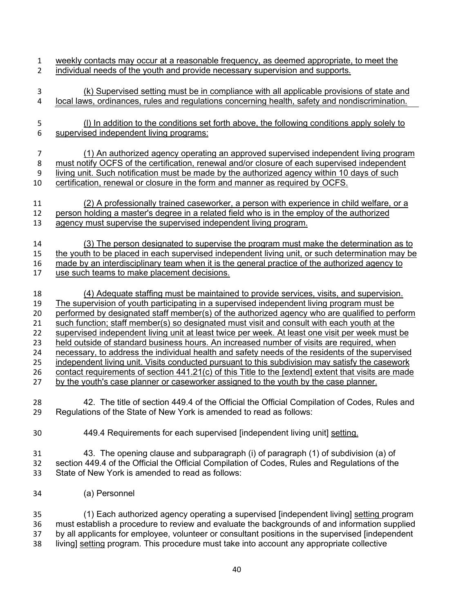- weekly contacts may occur at a reasonable frequency, as deemed appropriate, to meet the individual needs of the youth and provide necessary supervision and supports. (k) Supervised setting must be in compliance with all applicable provisions of state and local laws, ordinances, rules and regulations concerning health, safety and nondiscrimination. (l) In addition to the conditions set forth above, the following conditions apply solely to supervised independent living programs: (1) An authorized agency operating an approved supervised independent living program must notify OCFS of the certification, renewal and/or closure of each supervised independent living unit. Such notification must be made by the authorized agency within 10 days of such certification, renewal or closure in the form and manner as required by OCFS. (2) A professionally trained caseworker, a person with experience in child welfare, or a person holding a master's degree in a related field who is in the employ of the authorized agency must supervise the supervised independent living program. (3) The person designated to supervise the program must make the determination as to the youth to be placed in each supervised independent living unit, or such determination may be made by an interdisciplinary team when it is the general practice of the authorized agency to use such teams to make placement decisions. (4) Adequate staffing must be maintained to provide services, visits, and supervision. The supervision of youth participating in a supervised independent living program must be performed by designated staff member(s) of the authorized agency who are qualified to perform such function; staff member(s) so designated must visit and consult with each youth at the 22 supervised independent living unit at least twice per week. At least one visit per week must be held outside of standard business hours. An increased number of visits are required, when necessary, to address the individual health and safety needs of the residents of the supervised independent living unit. Visits conducted pursuant to this subdivision may satisfy the casework 26 contact requirements of section 441.21(c) of this Title to the [extend] extent that visits are made by the youth's case planner or caseworker assigned to the youth by the case planner. 42. The title of section 449.4 of the Official the Official Compilation of Codes, Rules and Regulations of the State of New York is amended to read as follows: 449.4 Requirements for each supervised [independent living unit] setting. 43. The opening clause and subparagraph (i) of paragraph (1) of subdivision (a) of section 449.4 of the Official the Official Compilation of Codes, Rules and Regulations of the State of New York is amended to read as follows: (a) Personnel (1) Each authorized agency operating a supervised [independent living] setting program must establish a procedure to review and evaluate the backgrounds of and information supplied by all applicants for employee, volunteer or consultant positions in the supervised [independent living] setting program. This procedure must take into account any appropriate collective
	-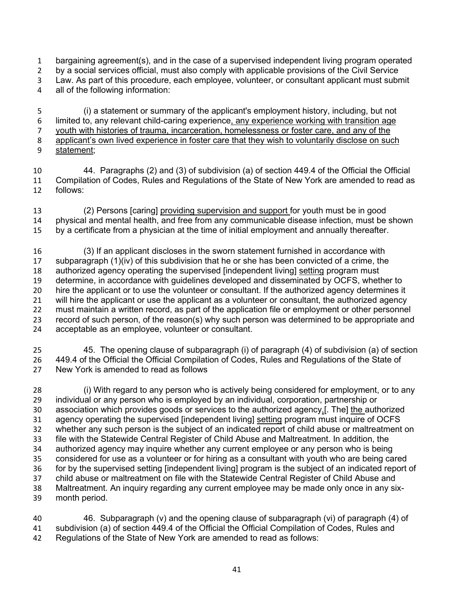bargaining agreement(s), and in the case of a supervised independent living program operated by a social services official, must also comply with applicable provisions of the Civil Service Law. As part of this procedure, each employee, volunteer, or consultant applicant must submit all of the following information:

 (i) a statement or summary of the applicant's employment history, including, but not 6 limited to, any relevant child-caring experience, any experience working with transition age youth with histories of trauma, incarceration, homelessness or foster care, and any of the applicant's own lived experience in foster care that they wish to voluntarily disclose on such statement;

 44. Paragraphs (2) and (3) of subdivision (a) of section 449.4 of the Official the Official Compilation of Codes, Rules and Regulations of the State of New York are amended to read as follows:

 (2) Persons [caring] providing supervision and support for youth must be in good physical and mental health, and free from any communicable disease infection, must be shown by a certificate from a physician at the time of initial employment and annually thereafter.

 (3) If an applicant discloses in the sworn statement furnished in accordance with subparagraph (1)(iv) of this subdivision that he or she has been convicted of a crime, the authorized agency operating the supervised [independent living] setting program must determine, in accordance with guidelines developed and disseminated by OCFS, whether to 20 hire the applicant or to use the volunteer or consultant. If the authorized agency determines it will hire the applicant or use the applicant as a volunteer or consultant, the authorized agency must maintain a written record, as part of the application file or employment or other personnel record of such person, of the reason(s) why such person was determined to be appropriate and acceptable as an employee, volunteer or consultant.

 45. The opening clause of subparagraph (i) of paragraph (4) of subdivision (a) of section 449.4 of the Official the Official Compilation of Codes, Rules and Regulations of the State of New York is amended to read as follows

 (i) With regard to any person who is actively being considered for employment, or to any individual or any person who is employed by an individual, corporation, partnership or 30 association which provides goods or services to the authorized agency.[. The] the authorized agency operating the supervised [independent living] setting program must inquire of OCFS whether any such person is the subject of an indicated report of child abuse or maltreatment on file with the Statewide Central Register of Child Abuse and Maltreatment. In addition, the authorized agency may inquire whether any current employee or any person who is being considered for use as a volunteer or for hiring as a consultant with youth who are being cared for by the supervised setting [independent living] program is the subject of an indicated report of child abuse or maltreatment on file with the Statewide Central Register of Child Abuse and Maltreatment. An inquiry regarding any current employee may be made only once in any six-month period.

 46. Subparagraph (v) and the opening clause of subparagraph (vi) of paragraph (4) of subdivision (a) of section 449.4 of the Official the Official Compilation of Codes, Rules and Regulations of the State of New York are amended to read as follows: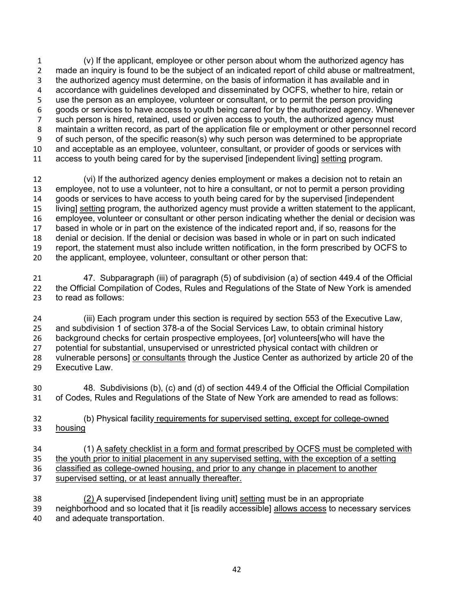(v) If the applicant, employee or other person about whom the authorized agency has made an inquiry is found to be the subject of an indicated report of child abuse or maltreatment, the authorized agency must determine, on the basis of information it has available and in accordance with guidelines developed and disseminated by OCFS, whether to hire, retain or use the person as an employee, volunteer or consultant, or to permit the person providing goods or services to have access to youth being cared for by the authorized agency. Whenever such person is hired, retained, used or given access to youth, the authorized agency must maintain a written record, as part of the application file or employment or other personnel record of such person, of the specific reason(s) why such person was determined to be appropriate and acceptable as an employee, volunteer, consultant, or provider of goods or services with access to youth being cared for by the supervised [independent living] setting program.

 (vi) If the authorized agency denies employment or makes a decision not to retain an employee, not to use a volunteer, not to hire a consultant, or not to permit a person providing goods or services to have access to youth being cared for by the supervised [independent living] setting program, the authorized agency must provide a written statement to the applicant, employee, volunteer or consultant or other person indicating whether the denial or decision was based in whole or in part on the existence of the indicated report and, if so, reasons for the denial or decision. If the denial or decision was based in whole or in part on such indicated report, the statement must also include written notification, in the form prescribed by OCFS to the applicant, employee, volunteer, consultant or other person that:

 47. Subparagraph (iii) of paragraph (5) of subdivision (a) of section 449.4 of the Official the Official Compilation of Codes, Rules and Regulations of the State of New York is amended to read as follows:

 (iii) Each program under this section is required by section 553 of the Executive Law, and subdivision 1 of section 378-a of the Social Services Law, to obtain criminal history background checks for certain prospective employees, [or] volunteers[who will have the potential for substantial, unsupervised or unrestricted physical contact with children or vulnerable persons] or consultants through the Justice Center as authorized by article 20 of the Executive Law.

 48. Subdivisions (b), (c) and (d) of section 449.4 of the Official the Official Compilation of Codes, Rules and Regulations of the State of New York are amended to read as follows:

 (b) Physical facility requirements for supervised setting, except for college-owned housing

 (1) A safety checklist in a form and format prescribed by OCFS must be completed with the youth prior to initial placement in any supervised setting, with the exception of a setting classified as college-owned housing, and prior to any change in placement to another supervised setting, or at least annually thereafter.

 (2) A supervised [independent living unit] setting must be in an appropriate neighborhood and so located that it [is readily accessible] allows access to necessary services and adequate transportation.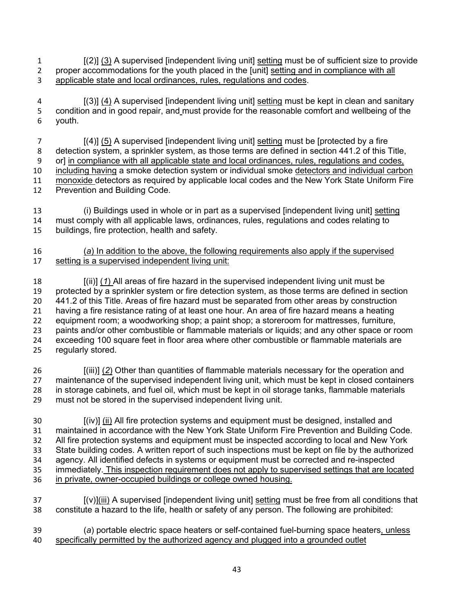[(2)] (3) A supervised [independent living unit] setting must be of sufficient size to provide proper accommodations for the youth placed in the [unit] setting and in compliance with all applicable state and local ordinances, rules, regulations and codes.

4 [(3)] (4) A supervised [independent living unit] setting must be kept in clean and sanitary 5 condition and in good repair, and must provide for the reasonable comfort and wellbeing of the youth.

 [(4)] (5) A supervised [independent living unit] setting must be [protected by a fire 8 detection system, a sprinkler system, as those terms are defined in section 441.2 of this Title, or] in compliance with all applicable state and local ordinances, rules, regulations and codes, including having a smoke detection system or individual smoke detectors and individual carbon monoxide detectors as required by applicable local codes and the New York State Uniform Fire Prevention and Building Code.

- (i) Buildings used in whole or in part as a supervised [independent living unit] setting must comply with all applicable laws, ordinances, rules, regulations and codes relating to buildings, fire protection, health and safety.
- (*a*) In addition to the above, the following requirements also apply if the supervised setting is a supervised independent living unit:

 [(ii)] (*1*) All areas of fire hazard in the supervised independent living unit must be protected by a sprinkler system or fire detection system, as those terms are defined in section 441.2 of this Title. Areas of fire hazard must be separated from other areas by construction having a fire resistance rating of at least one hour. An area of fire hazard means a heating equipment room; a woodworking shop; a paint shop; a storeroom for mattresses, furniture, paints and/or other combustible or flammable materials or liquids; and any other space or room exceeding 100 square feet in floor area where other combustible or flammable materials are regularly stored.

 [(iii)] (*2*) Other than quantities of flammable materials necessary for the operation and maintenance of the supervised independent living unit, which must be kept in closed containers in storage cabinets, and fuel oil, which must be kept in oil storage tanks, flammable materials must not be stored in the supervised independent living unit.

 [(iv)] (ii) All fire protection systems and equipment must be designed, installed and maintained in accordance with the New York State Uniform Fire Prevention and Building Code. All fire protection systems and equipment must be inspected according to local and New York State building codes. A written report of such inspections must be kept on file by the authorized agency. All identified defects in systems or equipment must be corrected and re-inspected 35 immediately. This inspection requirement does not apply to supervised settings that are located in private, owner-occupied buildings or college owned housing.

- [(v)](iii) A supervised [independent living unit] setting must be free from all conditions that constitute a hazard to the life, health or safety of any person. The following are prohibited:
- (*a*) portable electric space heaters or self-contained fuel-burning space heaters, unless specifically permitted by the authorized agency and plugged into a grounded outlet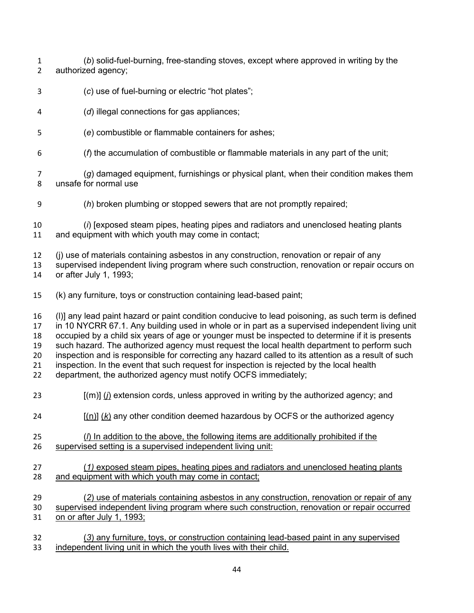- (*b*) solid-fuel-burning, free-standing stoves, except where approved in writing by the authorized agency;
- (*c*) use of fuel-burning or electric "hot plates";
- (*d*) illegal connections for gas appliances;
- (*e*) combustible or flammable containers for ashes;
- (*f*) the accumulation of combustible or flammable materials in any part of the unit;
- (*g*) damaged equipment, furnishings or physical plant, when their condition makes them unsafe for normal use
- (*h*) broken plumbing or stopped sewers that are not promptly repaired;
- (*i*) [exposed steam pipes, heating pipes and radiators and unenclosed heating plants and equipment with which youth may come in contact;
- (j) use of materials containing asbestos in any construction, renovation or repair of any
- supervised independent living program where such construction, renovation or repair occurs on or after July 1, 1993;
- (k) any furniture, toys or construction containing lead-based paint;
- (l)] any lead paint hazard or paint condition conducive to lead poisoning, as such term is defined in 10 NYCRR 67.1. Any building used in whole or in part as a supervised independent living unit occupied by a child six years of age or younger must be inspected to determine if it is presents such hazard. The authorized agency must request the local health department to perform such inspection and is responsible for correcting any hazard called to its attention as a result of such inspection. In the event that such request for inspection is rejected by the local health department, the authorized agency must notify OCFS immediately;
- 
- [(m)] (*j*) extension cords, unless approved in writing by the authorized agency; and
- [(n)] (*k*) any other condition deemed hazardous by OCFS or the authorized agency
- (*l*) In addition to the above, the following items are additionally prohibited if the supervised setting is a supervised independent living unit:
- (*1)* exposed steam pipes, heating pipes and radiators and unenclosed heating plants and equipment with which youth may come in contact;
- (*2*) use of materials containing asbestos in any construction, renovation or repair of any supervised independent living program where such construction, renovation or repair occurred on or after July 1, 1993;
- (*3*) any furniture, toys, or construction containing lead-based paint in any supervised independent living unit in which the youth lives with their child.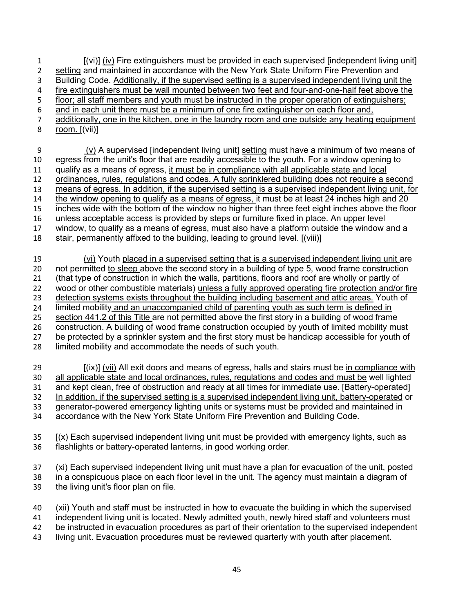[(vi)] (iv) Fire extinguishers must be provided in each supervised [independent living unit] setting and maintained in accordance with the New York State Uniform Fire Prevention and Building Code. Additionally, if the supervised setting is a supervised independent living unit the fire extinguishers must be wall mounted between two feet and four-and-one-half feet above the floor; all staff members and youth must be instructed in the proper operation of extinguishers; and in each unit there must be a minimum of one fire extinguisher on each floor and, additionally, one in the kitchen, one in the laundry room and one outside any heating equipment room. [(vii)]

 (v) A supervised [independent living unit] setting must have a minimum of two means of egress from the unit's floor that are readily accessible to the youth. For a window opening to qualify as a means of egress, it must be in compliance with all applicable state and local ordinances, rules, regulations and codes. A fully sprinklered building does not require a second means of egress. In addition, if the supervised setting is a supervised independent living unit, for the window opening to qualify as a means of egress, it must be at least 24 inches high and 20 inches wide with the bottom of the window no higher than three feet eight inches above the floor unless acceptable access is provided by steps or furniture fixed in place. An upper level window, to qualify as a means of egress, must also have a platform outside the window and a stair, permanently affixed to the building, leading to ground level. [(viii)]

 (vi) Youth placed in a supervised setting that is a supervised independent living unit are not permitted to sleep above the second story in a building of type 5, wood frame construction (that type of construction in which the walls, partitions, floors and roof are wholly or partly of wood or other combustible materials) unless a fully approved operating fire protection and/or fire detection systems exists throughout the building including basement and attic areas. Youth of limited mobility and an unaccompanied child of parenting youth as such term is defined in section 441.2 of this Title are not permitted above the first story in a building of wood frame construction. A building of wood frame construction occupied by youth of limited mobility must be protected by a sprinkler system and the first story must be handicap accessible for youth of limited mobility and accommodate the needs of such youth.

 [(ix)] (vii) All exit doors and means of egress, halls and stairs must be in compliance with all applicable state and local ordinances, rules, regulations and codes and must be well lighted and kept clean, free of obstruction and ready at all times for immediate use. [Battery-operated] 32 In addition, if the supervised setting is a supervised independent living unit, battery-operated or generator-powered emergency lighting units or systems must be provided and maintained in accordance with the New York State Uniform Fire Prevention and Building Code.

 [(x) Each supervised independent living unit must be provided with emergency lights, such as flashlights or battery-operated lanterns, in good working order.

 (xi) Each supervised independent living unit must have a plan for evacuation of the unit, posted in a conspicuous place on each floor level in the unit. The agency must maintain a diagram of the living unit's floor plan on file.

 (xii) Youth and staff must be instructed in how to evacuate the building in which the supervised independent living unit is located. Newly admitted youth, newly hired staff and volunteers must be instructed in evacuation procedures as part of their orientation to the supervised independent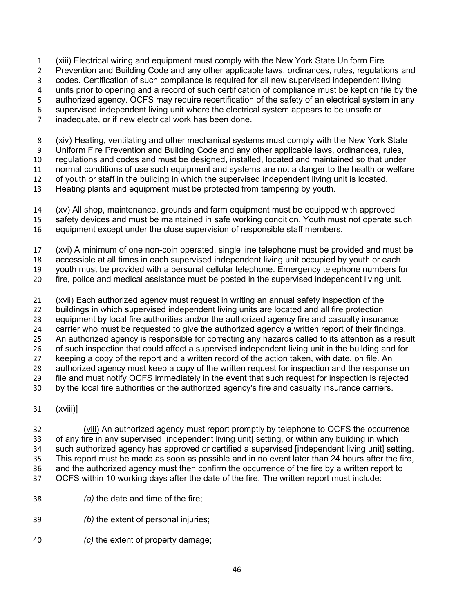(xiii) Electrical wiring and equipment must comply with the New York State Uniform Fire

Prevention and Building Code and any other applicable laws, ordinances, rules, regulations and

codes. Certification of such compliance is required for all new supervised independent living

units prior to opening and a record of such certification of compliance must be kept on file by the

- authorized agency. OCFS may require recertification of the safety of an electrical system in any supervised independent living unit where the electrical system appears to be unsafe or
- 
- inadequate, or if new electrical work has been done.

(xiv) Heating, ventilating and other mechanical systems must comply with the New York State

Uniform Fire Prevention and Building Code and any other applicable laws, ordinances, rules,

regulations and codes and must be designed, installed, located and maintained so that under

 normal conditions of use such equipment and systems are not a danger to the health or welfare of youth or staff in the building in which the supervised independent living unit is located.

Heating plants and equipment must be protected from tampering by youth.

- 
- (xv) All shop, maintenance, grounds and farm equipment must be equipped with approved
- safety devices and must be maintained in safe working condition. Youth must not operate such
- equipment except under the close supervision of responsible staff members.
- (xvi) A minimum of one non-coin operated, single line telephone must be provided and must be

accessible at all times in each supervised independent living unit occupied by youth or each

youth must be provided with a personal cellular telephone. Emergency telephone numbers for

fire, police and medical assistance must be posted in the supervised independent living unit.

 (xvii) Each authorized agency must request in writing an annual safety inspection of the buildings in which supervised independent living units are located and all fire protection

- equipment by local fire authorities and/or the authorized agency fire and casualty insurance
- carrier who must be requested to give the authorized agency a written report of their findings. An authorized agency is responsible for correcting any hazards called to its attention as a result
- 26 of such inspection that could affect a supervised independent living unit in the building and for

keeping a copy of the report and a written record of the action taken, with date, on file. An

authorized agency must keep a copy of the written request for inspection and the response on

file and must notify OCFS immediately in the event that such request for inspection is rejected

by the local fire authorities or the authorized agency's fire and casualty insurance carriers.

(xviii)]

 (viii) An authorized agency must report promptly by telephone to OCFS the occurrence of any fire in any supervised [independent living unit] setting, or within any building in which such authorized agency has approved or certified a supervised [independent living unit] setting. This report must be made as soon as possible and in no event later than 24 hours after the fire, and the authorized agency must then confirm the occurrence of the fire by a written report to OCFS within 10 working days after the date of the fire. The written report must include:

- *(a)* the date and time of the fire;
- *(b)* the extent of personal injuries;
- *(c)* the extent of property damage;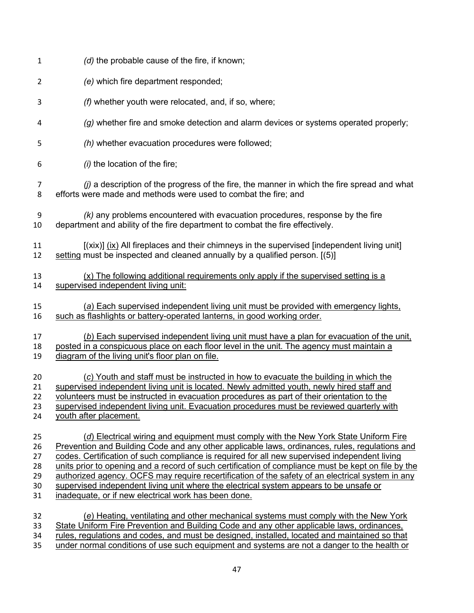| $\mathbf{1}$   | (d) the probable cause of the fire, if known;                                                       |
|----------------|-----------------------------------------------------------------------------------------------------|
| $\overline{2}$ | (e) which fire department responded;                                                                |
| 3              | (f) whether youth were relocated, and, if so, where;                                                |
| 4              | (g) whether fire and smoke detection and alarm devices or systems operated properly;                |
| 5              | (h) whether evacuation procedures were followed;                                                    |
| 6              | $(i)$ the location of the fire;                                                                     |
| 7              | $(j)$ a description of the progress of the fire, the manner in which the fire spread and what       |
| 8              | efforts were made and methods were used to combat the fire; and                                     |
| 9              | $(k)$ any problems encountered with evacuation procedures, response by the fire                     |
| 10             | department and ability of the fire department to combat the fire effectively.                       |
| 11             | $(xix)$ ] $(ix)$ All fireplaces and their chimneys in the supervised [independent living unit]      |
| 12             | setting must be inspected and cleaned annually by a qualified person. [(5)]                         |
| 13             | $(x)$ The following additional requirements only apply if the supervised setting is a               |
| 14             | supervised independent living unit:                                                                 |
| 15             | (a) Each supervised independent living unit must be provided with emergency lights,                 |
| 16             | such as flashlights or battery-operated lanterns, in good working order.                            |
| 17             | (b) Each supervised independent living unit must have a plan for evacuation of the unit,            |
| 18             | posted in a conspicuous place on each floor level in the unit. The agency must maintain a           |
| 19             | diagram of the living unit's floor plan on file.                                                    |
| 20             | (c) Youth and staff must be instructed in how to evacuate the building in which the                 |
| 21             | supervised independent living unit is located. Newly admitted youth, newly hired staff and          |
| 22             | volunteers must be instructed in evacuation procedures as part of their orientation to the          |
| 23             | supervised independent living unit. Evacuation procedures must be reviewed quarterly with           |
| 24             | youth after placement.                                                                              |
| 25             | (d) Electrical wiring and equipment must comply with the New York State Uniform Fire                |
| 26             | Prevention and Building Code and any other applicable laws, ordinances, rules, regulations and      |
| 27             | codes. Certification of such compliance is required for all new supervised independent living       |
| 28             | units prior to opening and a record of such certification of compliance must be kept on file by the |
| 29             | authorized agency. OCFS may require recertification of the safety of an electrical system in any    |
| 30             | supervised independent living unit where the electrical system appears to be unsafe or              |
| 31             | inadequate, or if new electrical work has been done.                                                |
| 32             | (e) Heating, ventilating and other mechanical systems must comply with the New York                 |
| 33             | State Uniform Fire Prevention and Building Code and any other applicable laws, ordinances,          |
| 34             | rules, regulations and codes, and must be designed, installed, located and maintained so that       |
| 35             | under normal conditions of use such equipment and systems are not a danger to the health or         |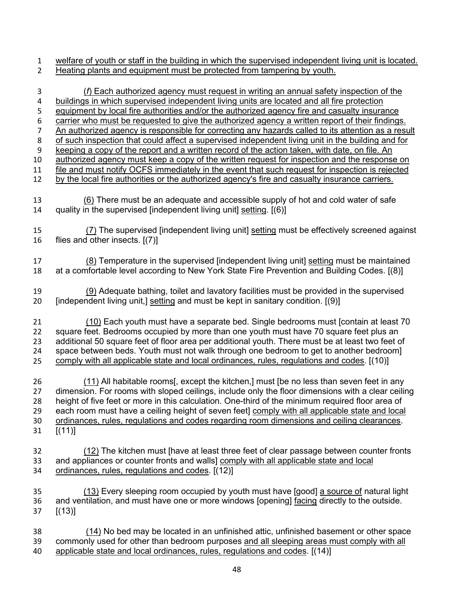welfare of youth or staff in the building in which the supervised independent living unit is located.

Heating plants and equipment must be protected from tampering by youth.

- (*f*) Each authorized agency must request in writing an annual safety inspection of the buildings in which supervised independent living units are located and all fire protection 5 equipment by local fire authorities and/or the authorized agency fire and casualty insurance carrier who must be requested to give the authorized agency a written report of their findings. An authorized agency is responsible for correcting any hazards called to its attention as a result of such inspection that could affect a supervised independent living unit in the building and for keeping a copy of the report and a written record of the action taken, with date, on file. An authorized agency must keep a copy of the written request for inspection and the response on file and must notify OCFS immediately in the event that such request for inspection is rejected by the local fire authorities or the authorized agency's fire and casualty insurance carriers. (6) There must be an adequate and accessible supply of hot and cold water of safe quality in the supervised [independent living unit] setting. [(6)] (7) The supervised [independent living unit] setting must be effectively screened against flies and other insects. [(7)] (8) Temperature in the supervised [independent living unit] setting must be maintained at a comfortable level according to New York State Fire Prevention and Building Codes. [(8)] (9) Adequate bathing, toilet and lavatory facilities must be provided in the supervised 20 [independent living unit,] setting and must be kept in sanitary condition. [(9)] (10) Each youth must have a separate bed. Single bedrooms must [contain at least 70 square feet. Bedrooms occupied by more than one youth must have 70 square feet plus an additional 50 square feet of floor area per additional youth. There must be at least two feet of space between beds. Youth must not walk through one bedroom to get to another bedroom] comply with all applicable state and local ordinances, rules, regulations and codes. [(10)] (11) All habitable rooms[, except the kitchen,] must [be no less than seven feet in any dimension. For rooms with sloped ceilings, include only the floor dimensions with a clear ceiling height of five feet or more in this calculation. One-third of the minimum required floor area of each room must have a ceiling height of seven feet] comply with all applicable state and local ordinances, rules, regulations and codes regarding room dimensions and ceiling clearances. [(11)] (12) The kitchen must [have at least three feet of clear passage between counter fronts and appliances or counter fronts and walls] comply with all applicable state and local ordinances, rules, regulations and codes. [(12)] (13) Every sleeping room occupied by youth must have [good] a source of natural light and ventilation, and must have one or more windows [opening] facing directly to the outside. [(13)] (14) No bed may be located in an unfinished attic, unfinished basement or other space commonly used for other than bedroom purposes and all sleeping areas must comply with all
- applicable state and local ordinances, rules, regulations and codes. [(14)]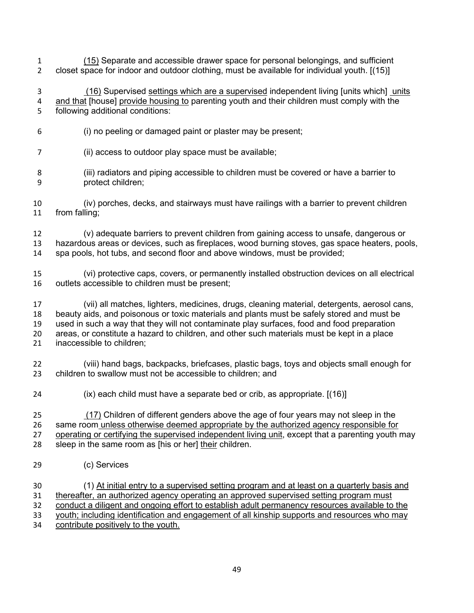- (15) Separate and accessible drawer space for personal belongings, and sufficient closet space for indoor and outdoor clothing, must be available for individual youth. [(15)]
- (16) Supervised settings which are a supervised independent living [units which] units and that [house] provide housing to parenting youth and their children must comply with the following additional conditions:
- (i) no peeling or damaged paint or plaster may be present;
- (ii) access to outdoor play space must be available;
- (iii) radiators and piping accessible to children must be covered or have a barrier to protect children;
- (iv) porches, decks, and stairways must have railings with a barrier to prevent children from falling;
- (v) adequate barriers to prevent children from gaining access to unsafe, dangerous or hazardous areas or devices, such as fireplaces, wood burning stoves, gas space heaters, pools, spa pools, hot tubs, and second floor and above windows, must be provided;
- (vi) protective caps, covers, or permanently installed obstruction devices on all electrical outlets accessible to children must be present;
- (vii) all matches, lighters, medicines, drugs, cleaning material, detergents, aerosol cans, beauty aids, and poisonous or toxic materials and plants must be safely stored and must be used in such a way that they will not contaminate play surfaces, food and food preparation areas, or constitute a hazard to children, and other such materials must be kept in a place inaccessible to children;
- (viii) hand bags, backpacks, briefcases, plastic bags, toys and objects small enough for children to swallow must not be accessible to children; and
- (ix) each child must have a separate bed or crib, as appropriate. [(16)]

 (17) Children of different genders above the age of four years may not sleep in the same room unless otherwise deemed appropriate by the authorized agency responsible for operating or certifying the supervised independent living unit, except that a parenting youth may sleep in the same room as [his or her] their children.

(c) Services

 (1) At initial entry to a supervised setting program and at least on a quarterly basis and thereafter, an authorized agency operating an approved supervised setting program must conduct a diligent and ongoing effort to establish adult permanency resources available to the youth; including identification and engagement of all kinship supports and resources who may contribute positively to the youth.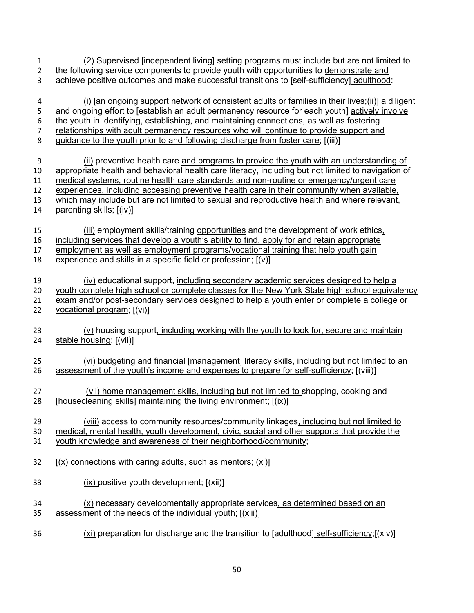| $\mathbf{1}$   | (2) Supervised [independent living] setting programs must include but are not limited to           |
|----------------|----------------------------------------------------------------------------------------------------|
| $\overline{2}$ | the following service components to provide youth with opportunities to demonstrate and            |
| 3              | achieve positive outcomes and make successful transitions to [self-sufficiency] adulthood:         |
| 4              | (i) [an ongoing support network of consistent adults or families in their lives; (ii)] a diligent  |
| 5              | and ongoing effort to [establish an adult permanency resource for each youth] actively involve     |
| 6              | the youth in identifying, establishing, and maintaining connections, as well as fostering          |
| $\overline{7}$ | relationships with adult permanency resources who will continue to provide support and             |
| 8              | guidance to the youth prior to and following discharge from foster care; [(iii)]                   |
| 9              | (ii) preventive health care and programs to provide the youth with an understanding of             |
| 10             | appropriate health and behavioral health care literacy, including but not limited to navigation of |
| 11             | medical systems, routine health care standards and non-routine or emergency/urgent care            |
| 12             | experiences, including accessing preventive health care in their community when available,         |
| 13             | which may include but are not limited to sexual and reproductive health and where relevant,        |
| 14             | parenting skills; [(iv)]                                                                           |
| 15             | (iii) employment skills/training opportunities and the development of work ethics,                 |
| 16             | including services that develop a youth's ability to find, apply for and retain appropriate        |
| 17             | employment as well as employment programs/vocational training that help youth gain                 |
| 18             | experience and skills in a specific field or profession; $[(v)]$                                   |
| 19             | (iv) educational support, including secondary academic services designed to help a                 |
| 20             | youth complete high school or complete classes for the New York State high school equivalency      |
| 21             | exam and/or post-secondary services designed to help a youth enter or complete a college or        |
| 22             | vocational program; [(vi)]                                                                         |
| 23             | (v) housing support, including working with the youth to look for, secure and maintain             |
| 24             | stable housing; [(vii)]                                                                            |
| 25             | (vi) budgeting and financial [management] literacy skills, including but not limited to an         |
| 26             | assessment of the youth's income and expenses to prepare for self-sufficiency; [(viii)]            |
| 27             | (vii) home management skills, including but not limited to shopping, cooking and                   |
| 28             | [housecleaning skills] maintaining the living environment; [(ix)]                                  |
| 29             | (viii) access to community resources/community linkages, including but not limited to              |
| 30             | medical, mental health, youth development, civic, social and other supports that provide the       |
| 31             | youth knowledge and awareness of their neighborhood/community;                                     |
| 32             | $(x)$ connections with caring adults, such as mentors; (xi)]                                       |
| 33             | $(ix)$ positive youth development; $[(xii)]$                                                       |
| 34             | $(x)$ necessary developmentally appropriate services, as determined based on an                    |
| 35             | assessment of the needs of the individual youth; [(xiii)]                                          |
| 36             | (xi) preparation for discharge and the transition to [adulthood] self-sufficiency;[(xiv)]          |

50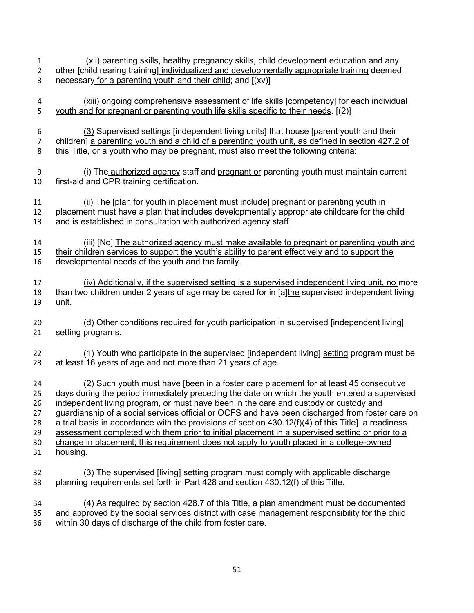(xii) parenting skills, healthy pregnancy skills, child development education and any other [child rearing training] individualized and developmentally appropriate training deemed necessary for a parenting youth and their child; and [(xv)]

- (xiii) ongoing comprehensive assessment of life skills [competency] for each individual 5 youth and for pregnant or parenting youth life skills specific to their needs. [(2)]
- (3) Supervised settings [independent living units] that house [parent youth and their children] a parenting youth and a child of a parenting youth unit, as defined in section 427.2 of this Title, or a youth who may be pregnant, must also meet the following criteria:
- (i) The authorized agency staff and pregnant or parenting youth must maintain current first-aid and CPR training certification.
- (ii) The [plan for youth in placement must include] pregnant or parenting youth in placement must have a plan that includes developmentally appropriate childcare for the child and is established in consultation with authorized agency staff.
- (iii) [No] The authorized agency must make available to pregnant or parenting youth and their children services to support the youth's ability to parent effectively and to support the developmental needs of the youth and the family.
- (iv) Additionally, if the supervised setting is a supervised independent living unit, no more than two children under 2 years of age may be cared for in [a]the supervised independent living unit.
- (d) Other conditions required for youth participation in supervised [independent living] setting programs.
- 22 (1) Youth who participate in the supervised [independent living] setting program must be at least 16 years of age and not more than 21 years of age.

 (2) Such youth must have [been in a foster care placement for at least 45 consecutive days during the period immediately preceding the date on which the youth entered a supervised independent living program, or must have been in the care and custody or custody and guardianship of a social services official or OCFS and have been discharged from foster care on 28 a trial basis in accordance with the provisions of section  $430.12(f)(4)$  of this Title] a readiness assessment completed with them prior to initial placement in a supervised setting or prior to a change in placement; this requirement does not apply to youth placed in a college-owned housing.

- (3) The supervised [living] setting program must comply with applicable discharge planning requirements set forth in Part 428 and section 430.12(f) of this Title.
- (4) As required by section 428.7 of this Title, a plan amendment must be documented and approved by the social services district with case management responsibility for the child within 30 days of discharge of the child from foster care.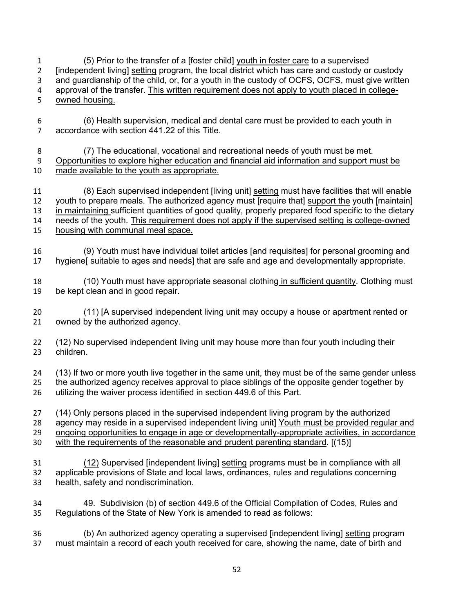(5) Prior to the transfer of a [foster child] youth in foster care to a supervised [independent living] setting program, the local district which has care and custody or custody and guardianship of the child, or, for a youth in the custody of OCFS, OCFS, must give written approval of the transfer. This written requirement does not apply to youth placed in college-owned housing.

- (6) Health supervision, medical and dental care must be provided to each youth in accordance with section 441.22 of this Title.
- (7) The educational, vocational and recreational needs of youth must be met. Opportunities to explore higher education and financial aid information and support must be made available to the youth as appropriate.

 (8) Each supervised independent [living unit] setting must have facilities that will enable youth to prepare meals. The authorized agency must [require that] support the youth [maintain] in maintaining sufficient quantities of good quality, properly prepared food specific to the dietary needs of the youth. This requirement does not apply if the supervised setting is college-owned housing with communal meal space.

- (9) Youth must have individual toilet articles [and requisites] for personal grooming and hygiene[ suitable to ages and needs] that are safe and age and developmentally appropriate.
- (10) Youth must have appropriate seasonal clothing in sufficient quantity. Clothing must be kept clean and in good repair.

 (11) [A supervised independent living unit may occupy a house or apartment rented or owned by the authorized agency.

 (12) No supervised independent living unit may house more than four youth including their children.

 (13) If two or more youth live together in the same unit, they must be of the same gender unless the authorized agency receives approval to place siblings of the opposite gender together by utilizing the waiver process identified in section 449.6 of this Part.

- (14) Only persons placed in the supervised independent living program by the authorized 28 agency may reside in a supervised independent living unit Youth must be provided regular and ongoing opportunities to engage in age or developmentally-appropriate activities, in accordance
- with the requirements of the reasonable and prudent parenting standard. [(15)]
- (12) Supervised [independent living] setting programs must be in compliance with all applicable provisions of State and local laws, ordinances, rules and regulations concerning health, safety and nondiscrimination.
- 49. Subdivision (b) of section 449.6 of the Official Compilation of Codes, Rules and Regulations of the State of New York is amended to read as follows:
- (b) An authorized agency operating a supervised [independent living] setting program must maintain a record of each youth received for care, showing the name, date of birth and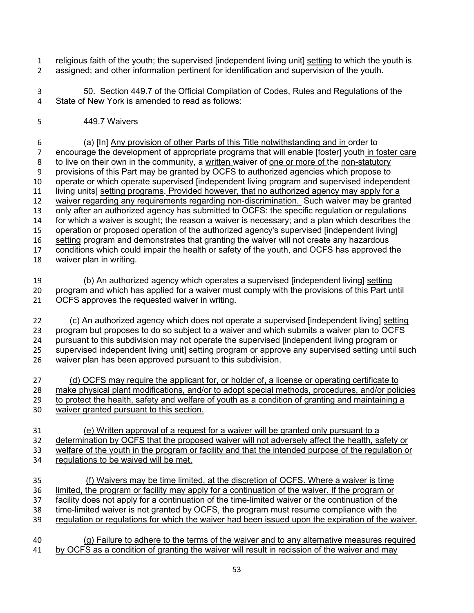- religious faith of the youth; the supervised [independent living unit] setting to which the youth is assigned; and other information pertinent for identification and supervision of the youth.
- 50. Section 449.7 of the Official Compilation of Codes, Rules and Regulations of the State of New York is amended to read as follows:
- 449.7 Waivers

 (a) [In] Any provision of other Parts of this Title notwithstanding and in order to encourage the development of appropriate programs that will enable [foster] youth in foster care 8 to live on their own in the community, a written waiver of one or more of the non-statutory provisions of this Part may be granted by OCFS to authorized agencies which propose to operate or which operate supervised [independent living program and supervised independent living units] setting programs. Provided however, that no authorized agency may apply for a waiver regarding any requirements regarding non-discrimination. Such waiver may be granted only after an authorized agency has submitted to OCFS: the specific regulation or regulations for which a waiver is sought; the reason a waiver is necessary; and a plan which describes the operation or proposed operation of the authorized agency's supervised [independent living] setting program and demonstrates that granting the waiver will not create any hazardous conditions which could impair the health or safety of the youth, and OCFS has approved the waiver plan in writing.

| 19 | (b) An authorized agency which operates a supervised [independent living] setting             |
|----|-----------------------------------------------------------------------------------------------|
| 20 | program and which has applied for a waiver must comply with the provisions of this Part until |
|    | 21 OCFS approves the requested waiver in writing.                                             |

- (c) An authorized agency which does not operate a supervised [independent living] setting program but proposes to do so subject to a waiver and which submits a waiver plan to OCFS pursuant to this subdivision may not operate the supervised [independent living program or supervised independent living unit] setting program or approve any supervised setting until such waiver plan has been approved pursuant to this subdivision.
- (d) OCFS may require the applicant for, or holder of, a license or operating certificate to make physical plant modifications, and/or to adopt special methods, procedures, and/or policies 29 to protect the health, safety and welfare of youth as a condition of granting and maintaining a waiver granted pursuant to this section.
- (e) Written approval of a request for a waiver will be granted only pursuant to a determination by OCFS that the proposed waiver will not adversely affect the health, safety or welfare of the youth in the program or facility and that the intended purpose of the regulation or regulations to be waived will be met.
- (f) Waivers may be time limited, at the discretion of OCFS. Where a waiver is time limited, the program or facility may apply for a continuation of the waiver. If the program or facility does not apply for a continuation of the time-limited waiver or the continuation of the time-limited waiver is not granted by OCFS, the program must resume compliance with the regulation or regulations for which the waiver had been issued upon the expiration of the waiver.
- (g) Failure to adhere to the terms of the waiver and to any alternative measures required by OCFS as a condition of granting the waiver will result in recission of the waiver and may